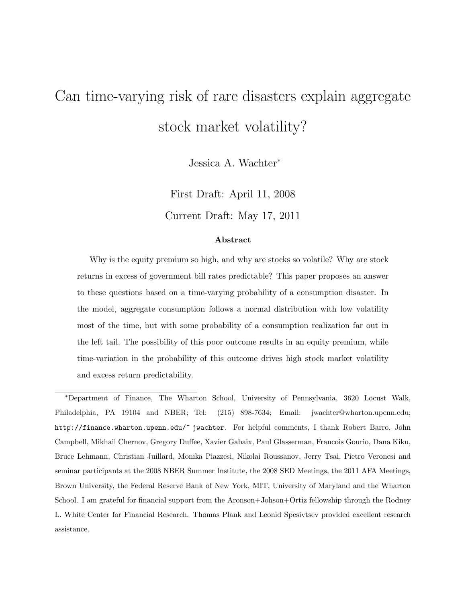# Can time-varying risk of rare disasters explain aggregate stock market volatility?

Jessica A. Wachter<sup>∗</sup>

First Draft: April 11, 2008 Current Draft: May 17, 2011

#### Abstract

Why is the equity premium so high, and why are stocks so volatile? Why are stock returns in excess of government bill rates predictable? This paper proposes an answer to these questions based on a time-varying probability of a consumption disaster. In the model, aggregate consumption follows a normal distribution with low volatility most of the time, but with some probability of a consumption realization far out in the left tail. The possibility of this poor outcome results in an equity premium, while time-variation in the probability of this outcome drives high stock market volatility and excess return predictability.

<sup>∗</sup>Department of Finance, The Wharton School, University of Pennsylvania, 3620 Locust Walk, Philadelphia, PA 19104 and NBER; Tel: (215) 898-7634; Email: jwachter@wharton.upenn.edu; http://finance.wharton.upenn.edu/~ jwachter. For helpful comments, I thank Robert Barro, John Campbell, Mikhail Chernov, Gregory Duffee, Xavier Gabaix, Paul Glasserman, Francois Gourio, Dana Kiku, Bruce Lehmann, Christian Juillard, Monika Piazzesi, Nikolai Roussanov, Jerry Tsai, Pietro Veronesi and seminar participants at the 2008 NBER Summer Institute, the 2008 SED Meetings, the 2011 AFA Meetings, Brown University, the Federal Reserve Bank of New York, MIT, University of Maryland and the Wharton School. I am grateful for financial support from the Aronson+Johson+Ortiz fellowship through the Rodney L. White Center for Financial Research. Thomas Plank and Leonid Spesivtsev provided excellent research assistance.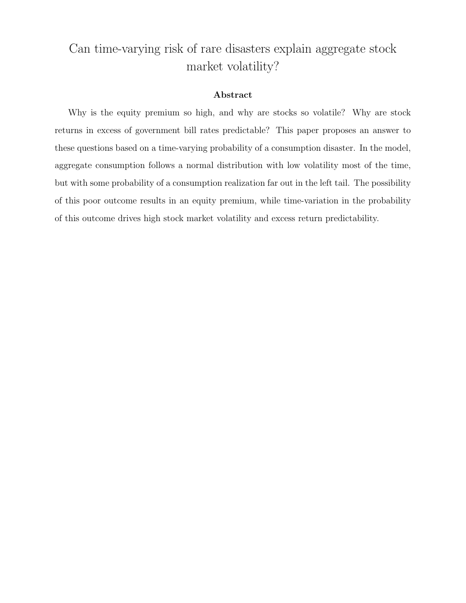# Can time-varying risk of rare disasters explain aggregate stock market volatility?

#### Abstract

Why is the equity premium so high, and why are stocks so volatile? Why are stock returns in excess of government bill rates predictable? This paper proposes an answer to these questions based on a time-varying probability of a consumption disaster. In the model, aggregate consumption follows a normal distribution with low volatility most of the time, but with some probability of a consumption realization far out in the left tail. The possibility of this poor outcome results in an equity premium, while time-variation in the probability of this outcome drives high stock market volatility and excess return predictability.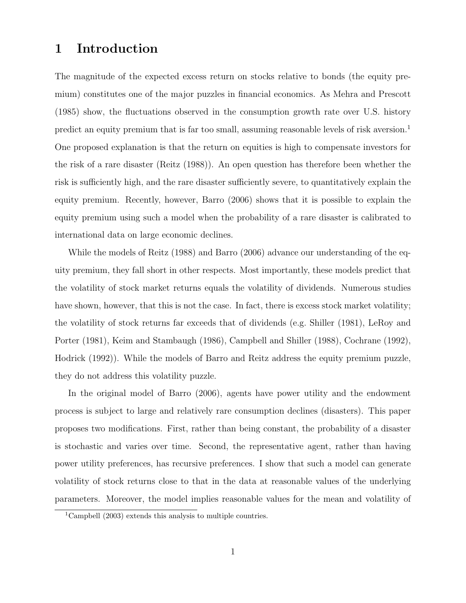### 1 Introduction

The magnitude of the expected excess return on stocks relative to bonds (the equity premium) constitutes one of the major puzzles in financial economics. As Mehra and Prescott (1985) show, the fluctuations observed in the consumption growth rate over U.S. history predict an equity premium that is far too small, assuming reasonable levels of risk aversion.<sup>1</sup> One proposed explanation is that the return on equities is high to compensate investors for the risk of a rare disaster (Reitz (1988)). An open question has therefore been whether the risk is sufficiently high, and the rare disaster sufficiently severe, to quantitatively explain the equity premium. Recently, however, Barro (2006) shows that it is possible to explain the equity premium using such a model when the probability of a rare disaster is calibrated to international data on large economic declines.

While the models of Reitz (1988) and Barro (2006) advance our understanding of the equity premium, they fall short in other respects. Most importantly, these models predict that the volatility of stock market returns equals the volatility of dividends. Numerous studies have shown, however, that this is not the case. In fact, there is excess stock market volatility; the volatility of stock returns far exceeds that of dividends (e.g. Shiller (1981), LeRoy and Porter (1981), Keim and Stambaugh (1986), Campbell and Shiller (1988), Cochrane (1992), Hodrick (1992)). While the models of Barro and Reitz address the equity premium puzzle, they do not address this volatility puzzle.

In the original model of Barro (2006), agents have power utility and the endowment process is subject to large and relatively rare consumption declines (disasters). This paper proposes two modifications. First, rather than being constant, the probability of a disaster is stochastic and varies over time. Second, the representative agent, rather than having power utility preferences, has recursive preferences. I show that such a model can generate volatility of stock returns close to that in the data at reasonable values of the underlying parameters. Moreover, the model implies reasonable values for the mean and volatility of

<sup>&</sup>lt;sup>1</sup>Campbell (2003) extends this analysis to multiple countries.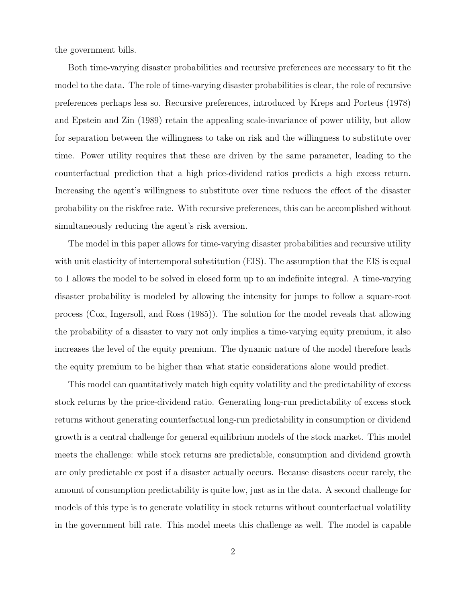the government bills.

Both time-varying disaster probabilities and recursive preferences are necessary to fit the model to the data. The role of time-varying disaster probabilities is clear, the role of recursive preferences perhaps less so. Recursive preferences, introduced by Kreps and Porteus (1978) and Epstein and Zin (1989) retain the appealing scale-invariance of power utility, but allow for separation between the willingness to take on risk and the willingness to substitute over time. Power utility requires that these are driven by the same parameter, leading to the counterfactual prediction that a high price-dividend ratios predicts a high excess return. Increasing the agent's willingness to substitute over time reduces the effect of the disaster probability on the riskfree rate. With recursive preferences, this can be accomplished without simultaneously reducing the agent's risk aversion.

The model in this paper allows for time-varying disaster probabilities and recursive utility with unit elasticity of intertemporal substitution (EIS). The assumption that the EIS is equal to 1 allows the model to be solved in closed form up to an indefinite integral. A time-varying disaster probability is modeled by allowing the intensity for jumps to follow a square-root process (Cox, Ingersoll, and Ross (1985)). The solution for the model reveals that allowing the probability of a disaster to vary not only implies a time-varying equity premium, it also increases the level of the equity premium. The dynamic nature of the model therefore leads the equity premium to be higher than what static considerations alone would predict.

This model can quantitatively match high equity volatility and the predictability of excess stock returns by the price-dividend ratio. Generating long-run predictability of excess stock returns without generating counterfactual long-run predictability in consumption or dividend growth is a central challenge for general equilibrium models of the stock market. This model meets the challenge: while stock returns are predictable, consumption and dividend growth are only predictable ex post if a disaster actually occurs. Because disasters occur rarely, the amount of consumption predictability is quite low, just as in the data. A second challenge for models of this type is to generate volatility in stock returns without counterfactual volatility in the government bill rate. This model meets this challenge as well. The model is capable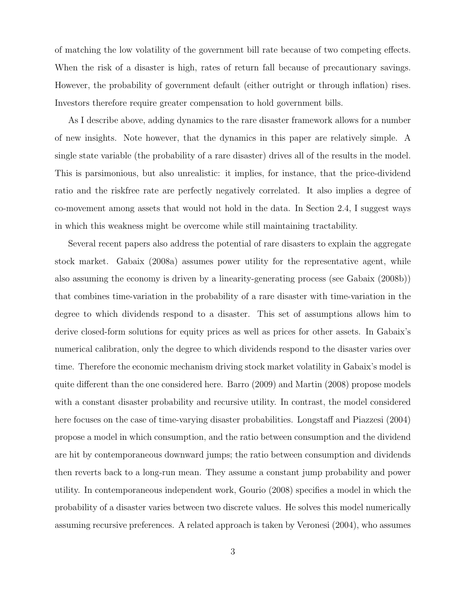of matching the low volatility of the government bill rate because of two competing effects. When the risk of a disaster is high, rates of return fall because of precautionary savings. However, the probability of government default (either outright or through inflation) rises. Investors therefore require greater compensation to hold government bills.

As I describe above, adding dynamics to the rare disaster framework allows for a number of new insights. Note however, that the dynamics in this paper are relatively simple. A single state variable (the probability of a rare disaster) drives all of the results in the model. This is parsimonious, but also unrealistic: it implies, for instance, that the price-dividend ratio and the riskfree rate are perfectly negatively correlated. It also implies a degree of co-movement among assets that would not hold in the data. In Section 2.4, I suggest ways in which this weakness might be overcome while still maintaining tractability.

Several recent papers also address the potential of rare disasters to explain the aggregate stock market. Gabaix (2008a) assumes power utility for the representative agent, while also assuming the economy is driven by a linearity-generating process (see Gabaix (2008b)) that combines time-variation in the probability of a rare disaster with time-variation in the degree to which dividends respond to a disaster. This set of assumptions allows him to derive closed-form solutions for equity prices as well as prices for other assets. In Gabaix's numerical calibration, only the degree to which dividends respond to the disaster varies over time. Therefore the economic mechanism driving stock market volatility in Gabaix's model is quite different than the one considered here. Barro (2009) and Martin (2008) propose models with a constant disaster probability and recursive utility. In contrast, the model considered here focuses on the case of time-varying disaster probabilities. Longstaff and Piazzesi (2004) propose a model in which consumption, and the ratio between consumption and the dividend are hit by contemporaneous downward jumps; the ratio between consumption and dividends then reverts back to a long-run mean. They assume a constant jump probability and power utility. In contemporaneous independent work, Gourio (2008) specifies a model in which the probability of a disaster varies between two discrete values. He solves this model numerically assuming recursive preferences. A related approach is taken by Veronesi (2004), who assumes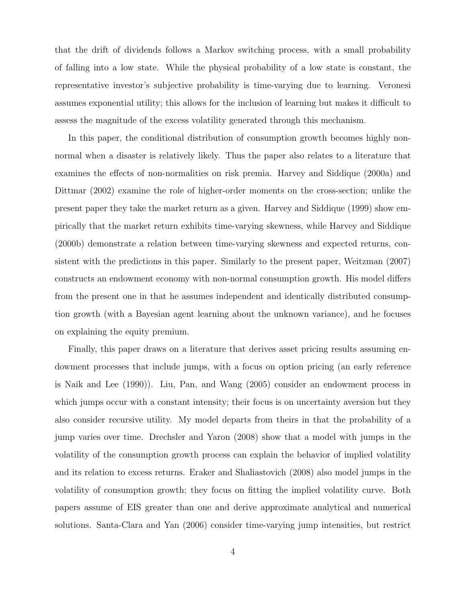that the drift of dividends follows a Markov switching process, with a small probability of falling into a low state. While the physical probability of a low state is constant, the representative investor's subjective probability is time-varying due to learning. Veronesi assumes exponential utility; this allows for the inclusion of learning but makes it difficult to assess the magnitude of the excess volatility generated through this mechanism.

In this paper, the conditional distribution of consumption growth becomes highly nonnormal when a disaster is relatively likely. Thus the paper also relates to a literature that examines the effects of non-normalities on risk premia. Harvey and Siddique (2000a) and Dittmar (2002) examine the role of higher-order moments on the cross-section; unlike the present paper they take the market return as a given. Harvey and Siddique (1999) show empirically that the market return exhibits time-varying skewness, while Harvey and Siddique (2000b) demonstrate a relation between time-varying skewness and expected returns, consistent with the predictions in this paper. Similarly to the present paper, Weitzman (2007) constructs an endowment economy with non-normal consumption growth. His model differs from the present one in that he assumes independent and identically distributed consumption growth (with a Bayesian agent learning about the unknown variance), and he focuses on explaining the equity premium.

Finally, this paper draws on a literature that derives asset pricing results assuming endowment processes that include jumps, with a focus on option pricing (an early reference is Naik and Lee (1990)). Liu, Pan, and Wang (2005) consider an endowment process in which jumps occur with a constant intensity; their focus is on uncertainty aversion but they also consider recursive utility. My model departs from theirs in that the probability of a jump varies over time. Drechsler and Yaron (2008) show that a model with jumps in the volatility of the consumption growth process can explain the behavior of implied volatility and its relation to excess returns. Eraker and Shaliastovich (2008) also model jumps in the volatility of consumption growth; they focus on fitting the implied volatility curve. Both papers assume of EIS greater than one and derive approximate analytical and numerical solutions. Santa-Clara and Yan (2006) consider time-varying jump intensities, but restrict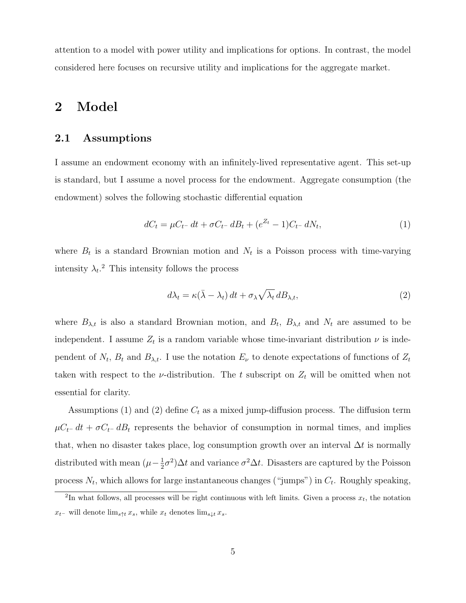attention to a model with power utility and implications for options. In contrast, the model considered here focuses on recursive utility and implications for the aggregate market.

### 2 Model

#### 2.1 Assumptions

I assume an endowment economy with an infinitely-lived representative agent. This set-up is standard, but I assume a novel process for the endowment. Aggregate consumption (the endowment) solves the following stochastic differential equation

$$
dC_t = \mu C_{t-} dt + \sigma C_{t-} dB_t + (e^{Z_t} - 1)C_{t-} dN_t, \tag{1}
$$

where  $B_t$  is a standard Brownian motion and  $N_t$  is a Poisson process with time-varying intensity  $\lambda_t$ <sup>2</sup> This intensity follows the process

$$
d\lambda_t = \kappa(\bar{\lambda} - \lambda_t) dt + \sigma_\lambda \sqrt{\lambda_t} dB_{\lambda, t},
$$
\n(2)

where  $B_{\lambda,t}$  is also a standard Brownian motion, and  $B_t$ ,  $B_{\lambda,t}$  and  $N_t$  are assumed to be independent. I assume  $Z_t$  is a random variable whose time-invariant distribution  $\nu$  is independent of  $N_t$ ,  $B_t$  and  $B_{\lambda,t}$ . I use the notation  $E_{\nu}$  to denote expectations of functions of  $Z_t$ taken with respect to the *v*-distribution. The t subscript on  $Z_t$  will be omitted when not essential for clarity.

Assumptions (1) and (2) define  $C_t$  as a mixed jump-diffusion process. The diffusion term  $\mu C_t$ − dt +  $\sigma C_t$ − dB<sub>t</sub> represents the behavior of consumption in normal times, and implies that, when no disaster takes place, log consumption growth over an interval  $\Delta t$  is normally distributed with mean  $(\mu - \frac{1}{2})$  $\frac{1}{2}\sigma^2$ ) $\Delta t$  and variance  $\sigma^2 \Delta t$ . Disasters are captured by the Poisson process  $N_t$ , which allows for large instantaneous changes ("jumps") in  $C_t$ . Roughly speaking,

<sup>&</sup>lt;sup>2</sup>In what follows, all processes will be right continuous with left limits. Given a process  $x_t$ , the notation  $x_{t-}$  will denote  $\lim_{s \uparrow t} x_s$ , while  $x_t$  denotes  $\lim_{s \downarrow t} x_s$ .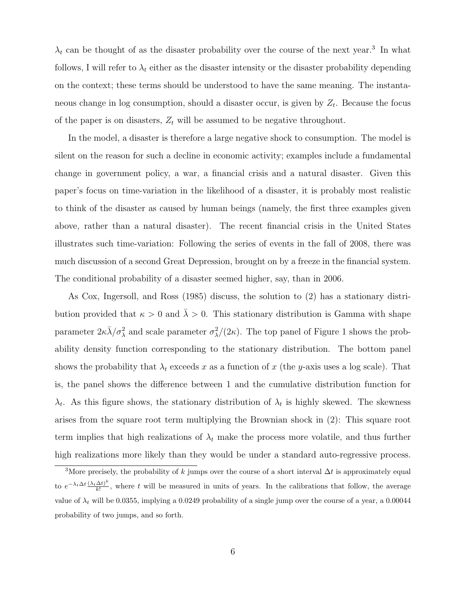$\lambda_t$  can be thought of as the disaster probability over the course of the next year.<sup>3</sup> In what follows, I will refer to  $\lambda_t$  either as the disaster intensity or the disaster probability depending on the context; these terms should be understood to have the same meaning. The instantaneous change in log consumption, should a disaster occur, is given by  $Z_t$ . Because the focus of the paper is on disasters,  $Z_t$  will be assumed to be negative throughout.

In the model, a disaster is therefore a large negative shock to consumption. The model is silent on the reason for such a decline in economic activity; examples include a fundamental change in government policy, a war, a financial crisis and a natural disaster. Given this paper's focus on time-variation in the likelihood of a disaster, it is probably most realistic to think of the disaster as caused by human beings (namely, the first three examples given above, rather than a natural disaster). The recent financial crisis in the United States illustrates such time-variation: Following the series of events in the fall of 2008, there was much discussion of a second Great Depression, brought on by a freeze in the financial system. The conditional probability of a disaster seemed higher, say, than in 2006.

As Cox, Ingersoll, and Ross (1985) discuss, the solution to (2) has a stationary distribution provided that  $\kappa > 0$  and  $\bar{\lambda} > 0$ . This stationary distribution is Gamma with shape parameter  $2\kappa\bar{\lambda}/\sigma_{\lambda}^2$  and scale parameter  $\sigma_{\lambda}^2/(2\kappa)$ . The top panel of Figure 1 shows the probability density function corresponding to the stationary distribution. The bottom panel shows the probability that  $\lambda_t$  exceeds x as a function of x (the y-axis uses a log scale). That is, the panel shows the difference between 1 and the cumulative distribution function for  $\lambda_t$ . As this figure shows, the stationary distribution of  $\lambda_t$  is highly skewed. The skewness arises from the square root term multiplying the Brownian shock in (2): This square root term implies that high realizations of  $\lambda_t$  make the process more volatile, and thus further high realizations more likely than they would be under a standard auto-regressive process.

<sup>&</sup>lt;sup>3</sup>More precisely, the probability of k jumps over the course of a short interval  $\Delta t$  is approximately equal to  $e^{-\lambda_t \Delta t} \frac{(\lambda_t \Delta t)^k}{k!}$  $\frac{\Delta t}{k!}$ , where t will be measured in units of years. In the calibrations that follow, the average value of  $\lambda_t$  will be 0.0355, implying a 0.0249 probability of a single jump over the course of a year, a 0.00044 probability of two jumps, and so forth.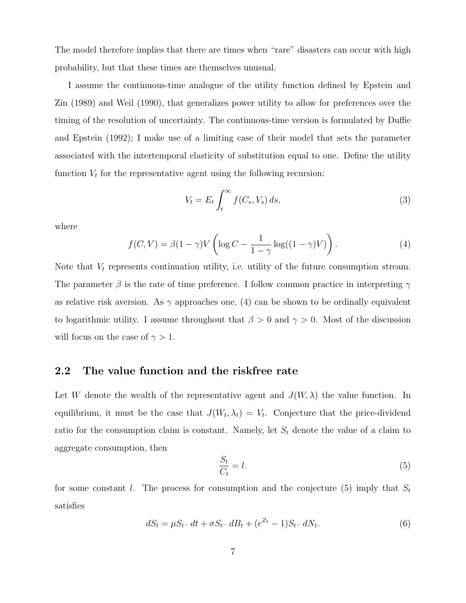The model therefore implies that there are times when "rare" disasters can occur with high probability, but that these times are themselves unusual.

I assume the continuous-time analogue of the utility function defined by Epstein and Zin (1989) and Weil (1990), that generalizes power utility to allow for preferences over the timing of the resolution of uncertainty. The continuous-time version is formulated by Duffie and Epstein (1992); I make use of a limiting case of their model that sets the parameter associated with the intertemporal elasticity of substitution equal to one. Define the utility function  $V_t$  for the representative agent using the following recursion:

$$
V_t = E_t \int_t^{\infty} f(C_s, V_s) ds,
$$
\n(3)

where

$$
f(C,V) = \beta(1-\gamma)V\left(\log C - \frac{1}{1-\gamma}\log((1-\gamma)V)\right). \tag{4}
$$

Note that  $V_t$  represents continuation utility, i.e. utility of the future consumption stream. The parameter  $\beta$  is the rate of time preference. I follow common practice in interpreting  $\gamma$ as relative risk aversion. As  $\gamma$  approaches one, (4) can be shown to be ordinally equivalent to logarithmic utility. I assume throughout that  $\beta > 0$  and  $\gamma > 0$ . Most of the discussion will focus on the case of  $\gamma > 1$ .

#### 2.2 The value function and the riskfree rate

Let W denote the wealth of the representative agent and  $J(W, \lambda)$  the value function. In equilibrium, it must be the case that  $J(W_t, \lambda_t) = V_t$ . Conjecture that the price-dividend ratio for the consumption claim is constant. Namely, let  $S_t$  denote the value of a claim to aggregate consumption, then

$$
\frac{S_t}{C_t} = l. \tag{5}
$$

for some constant l. The process for consumption and the conjecture (5) imply that  $S_t$ satisfies

$$
dS_t = \mu S_{t-} dt + \sigma S_{t-} dB_t + (e^{Z_t} - 1)S_{t-} dN_t.
$$
\n(6)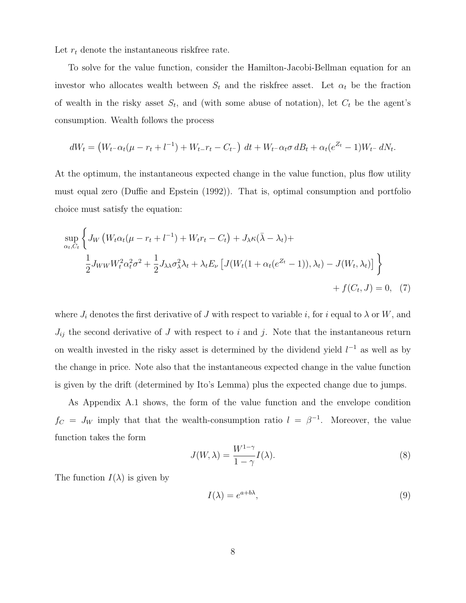Let  $r_t$  denote the instantaneous riskfree rate.

To solve for the value function, consider the Hamilton-Jacobi-Bellman equation for an investor who allocates wealth between  $S_t$  and the riskfree asset. Let  $\alpha_t$  be the fraction of wealth in the risky asset  $S_t$ , and (with some abuse of notation), let  $C_t$  be the agent's consumption. Wealth follows the process

$$
dW_t = (W_{t-} \alpha_t (\mu - r_t + l^{-1}) + W_{t-} r_t - C_{t-}) dt + W_{t-} \alpha_t \sigma dB_t + \alpha_t (e^{Z_t} - 1) W_{t-} dN_t.
$$

At the optimum, the instantaneous expected change in the value function, plus flow utility must equal zero (Duffie and Epstein (1992)). That is, optimal consumption and portfolio choice must satisfy the equation:

$$
\sup_{\alpha_t, C_t} \left\{ J_W \left( W_t \alpha_t (\mu - r_t + l^{-1}) + W_t r_t - C_t \right) + J_\lambda \kappa (\bar{\lambda} - \lambda_t) + \frac{1}{2} J_{WW} W_t^2 \alpha_t^2 \sigma^2 + \frac{1}{2} J_{\lambda \lambda} \sigma_\lambda^2 \lambda_t + \lambda_t E_\nu \left[ J(W_t (1 + \alpha_t (e^{Z_t} - 1)), \lambda_t) - J(W_t, \lambda_t) \right] \right\}
$$
  
+  $f(C_t, J) = 0$ , (7)

where  $J_i$  denotes the first derivative of  $J$  with respect to variable  $i$ , for  $i$  equal to  $\lambda$  or  $W$ , and  $J_{ij}$  the second derivative of J with respect to i and j. Note that the instantaneous return on wealth invested in the risky asset is determined by the dividend yield  $l^{-1}$  as well as by the change in price. Note also that the instantaneous expected change in the value function is given by the drift (determined by Ito's Lemma) plus the expected change due to jumps.

As Appendix A.1 shows, the form of the value function and the envelope condition  $f_C = J_W$  imply that that the wealth-consumption ratio  $l = \beta^{-1}$ . Moreover, the value function takes the form

$$
J(W, \lambda) = \frac{W^{1-\gamma}}{1-\gamma} I(\lambda).
$$
 (8)

The function  $I(\lambda)$  is given by

$$
I(\lambda) = e^{a+b\lambda},\tag{9}
$$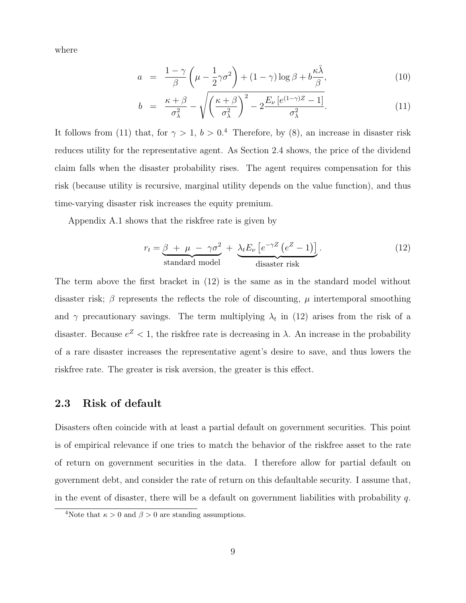where

$$
a = \frac{1-\gamma}{\beta} \left( \mu - \frac{1}{2}\gamma \sigma^2 \right) + (1-\gamma) \log \beta + b \frac{\kappa \bar{\lambda}}{\beta}, \tag{10}
$$

$$
b = \frac{\kappa + \beta}{\sigma_{\lambda}^2} - \sqrt{\left(\frac{\kappa + \beta}{\sigma_{\lambda}^2}\right)^2 - 2\frac{E_{\nu}\left[e^{(1-\gamma)Z} - 1\right]}{\sigma_{\lambda}^2}}.
$$
(11)

It follows from (11) that, for  $\gamma > 1$ ,  $b > 0.4$  Therefore, by (8), an increase in disaster risk reduces utility for the representative agent. As Section 2.4 shows, the price of the dividend claim falls when the disaster probability rises. The agent requires compensation for this risk (because utility is recursive, marginal utility depends on the value function), and thus time-varying disaster risk increases the equity premium.

Appendix A.1 shows that the riskfree rate is given by

$$
r_{t} = \underbrace{\beta + \mu - \gamma \sigma^{2}}_{\text{standard model}} + \underbrace{\lambda_{t} E_{\nu} \left[ e^{-\gamma Z} \left( e^{Z} - 1 \right) \right]}_{\text{dissaster risk}}.
$$
\n(12)

The term above the first bracket in (12) is the same as in the standard model without disaster risk;  $\beta$  represents the reflects the role of discounting,  $\mu$  intertemporal smoothing and  $\gamma$  precautionary savings. The term multiplying  $\lambda_t$  in (12) arises from the risk of a disaster. Because  $e^Z < 1$ , the riskfree rate is decreasing in  $\lambda$ . An increase in the probability of a rare disaster increases the representative agent's desire to save, and thus lowers the riskfree rate. The greater is risk aversion, the greater is this effect.

#### 2.3 Risk of default

Disasters often coincide with at least a partial default on government securities. This point is of empirical relevance if one tries to match the behavior of the riskfree asset to the rate of return on government securities in the data. I therefore allow for partial default on government debt, and consider the rate of return on this defaultable security. I assume that, in the event of disaster, there will be a default on government liabilities with probability q.

<sup>&</sup>lt;sup>4</sup>Note that  $\kappa > 0$  and  $\beta > 0$  are standing assumptions.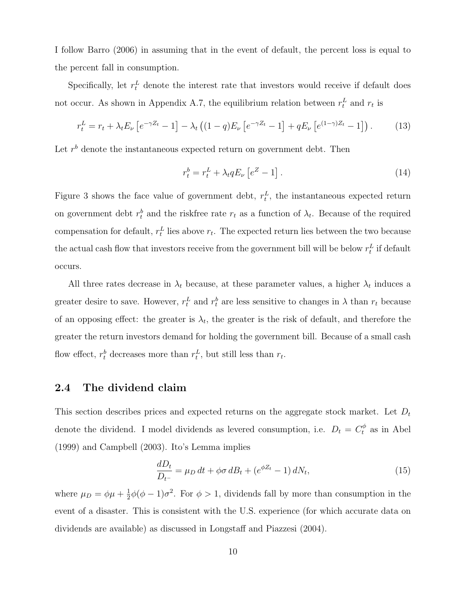I follow Barro (2006) in assuming that in the event of default, the percent loss is equal to the percent fall in consumption.

Specifically, let  $r_t^L$  denote the interest rate that investors would receive if default does not occur. As shown in Appendix A.7, the equilibrium relation between  $r_t^L$  and  $r_t$  is

$$
r_t^L = r_t + \lambda_t E_\nu \left[ e^{-\gamma Z_t} - 1 \right] - \lambda_t \left( (1 - q) E_\nu \left[ e^{-\gamma Z_t} - 1 \right] + q E_\nu \left[ e^{(1 - \gamma) Z_t} - 1 \right] \right). \tag{13}
$$

Let  $r<sup>b</sup>$  denote the instantaneous expected return on government debt. Then

$$
r_t^b = r_t^L + \lambda_t q E_\nu \left[ e^Z - 1 \right]. \tag{14}
$$

Figure 3 shows the face value of government debt,  $r_t^L$ , the instantaneous expected return on government debt  $r_t^b$  and the riskfree rate  $r_t$  as a function of  $\lambda_t$ . Because of the required compensation for default,  $r_t^L$  lies above  $r_t$ . The expected return lies between the two because the actual cash flow that investors receive from the government bill will be below  $r_t^L$  if default occurs.

All three rates decrease in  $\lambda_t$  because, at these parameter values, a higher  $\lambda_t$  induces a greater desire to save. However,  $r_t^L$  and  $r_t^b$  are less sensitive to changes in  $\lambda$  than  $r_t$  because of an opposing effect: the greater is  $\lambda_t$ , the greater is the risk of default, and therefore the greater the return investors demand for holding the government bill. Because of a small cash flow effect,  $r_t^b$  decreases more than  $r_t^L$ , but still less than  $r_t$ .

#### 2.4 The dividend claim

This section describes prices and expected returns on the aggregate stock market. Let  $D_t$ denote the dividend. I model dividends as levered consumption, i.e.  $D_t = C_t^{\phi}$  as in Abel (1999) and Campbell (2003). Ito's Lemma implies

$$
\frac{dD_t}{D_{t-}} = \mu_D \, dt + \phi \sigma \, dB_t + (e^{\phi Z_t} - 1) \, dN_t,\tag{15}
$$

where  $\mu_D = \phi \mu + \frac{1}{2}$  $\frac{1}{2}\phi(\phi-1)\sigma^2$ . For  $\phi>1$ , dividends fall by more than consumption in the event of a disaster. This is consistent with the U.S. experience (for which accurate data on dividends are available) as discussed in Longstaff and Piazzesi (2004).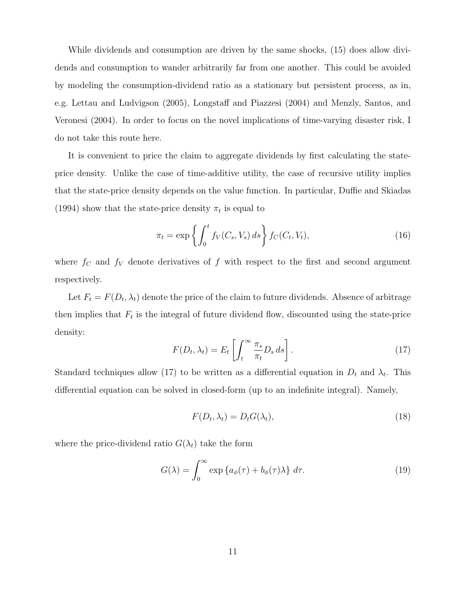While dividends and consumption are driven by the same shocks, (15) does allow dividends and consumption to wander arbitrarily far from one another. This could be avoided by modeling the consumption-dividend ratio as a stationary but persistent process, as in, e.g. Lettau and Ludvigson (2005), Longstaff and Piazzesi (2004) and Menzly, Santos, and Veronesi (2004). In order to focus on the novel implications of time-varying disaster risk, I do not take this route here.

It is convenient to price the claim to aggregate dividends by first calculating the stateprice density. Unlike the case of time-additive utility, the case of recursive utility implies that the state-price density depends on the value function. In particular, Duffie and Skiadas (1994) show that the state-price density  $\pi_t$  is equal to

$$
\pi_t = \exp\left\{ \int_0^t f_V(C_s, V_s) \, ds \right\} f_C(C_t, V_t), \tag{16}
$$

where  $f_C$  and  $f_V$  denote derivatives of f with respect to the first and second argument respectively.

Let  $F_t = F(D_t, \lambda_t)$  denote the price of the claim to future dividends. Absence of arbitrage then implies that  $F_t$  is the integral of future dividend flow, discounted using the state-price density:

$$
F(D_t, \lambda_t) = E_t \left[ \int_t^{\infty} \frac{\pi_s}{\pi_t} D_s ds \right].
$$
 (17)

Standard techniques allow (17) to be written as a differential equation in  $D_t$  and  $\lambda_t$ . This differential equation can be solved in closed-form (up to an indefinite integral). Namely,

$$
F(D_t, \lambda_t) = D_t G(\lambda_t),\tag{18}
$$

where the price-dividend ratio  $G(\lambda_t)$  take the form

$$
G(\lambda) = \int_0^\infty \exp\left\{a_\phi(\tau) + b_\phi(\tau)\lambda\right\} d\tau.
$$
 (19)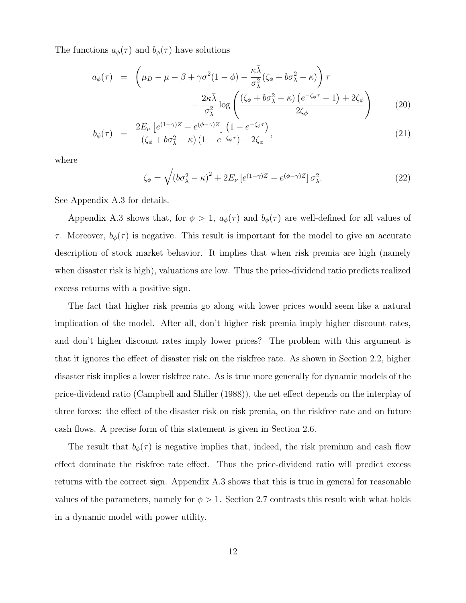The functions  $a_{\phi}(\tau)$  and  $b_{\phi}(\tau)$  have solutions

$$
a_{\phi}(\tau) = \left(\mu_D - \mu - \beta + \gamma \sigma^2 (1 - \phi) - \frac{\kappa \bar{\lambda}}{\sigma_{\lambda}^2} (\zeta_{\phi} + b \sigma_{\lambda}^2 - \kappa) \right) \tau - \frac{2\kappa \bar{\lambda}}{\sigma_{\lambda}^2} \log \left( \frac{(\zeta_{\phi} + b \sigma_{\lambda}^2 - \kappa) (e^{-\zeta_{\phi}\tau} - 1) + 2\zeta_{\phi}}{2\zeta_{\phi}} \right)
$$
(20)

$$
b_{\phi}(\tau) = \frac{2E_{\nu}\left[e^{(1-\gamma)Z} - e^{(\phi-\gamma)Z}\right]\left(1 - e^{-\zeta_{\phi}\tau}\right)}{(\zeta_{\phi} + b\sigma_{\lambda}^{2} - \kappa)\left(1 - e^{-\zeta_{\phi}\tau}\right) - 2\zeta_{\phi}},\tag{21}
$$

where

$$
\zeta_{\phi} = \sqrt{\left(b\sigma_{\lambda}^2 - \kappa\right)^2 + 2E_{\nu}\left[e^{(1-\gamma)Z} - e^{(\phi-\gamma)Z}\right]\sigma_{\lambda}^2}.\tag{22}
$$

See Appendix A.3 for details.

Appendix A.3 shows that, for  $\phi > 1$ ,  $a_{\phi}(\tau)$  and  $b_{\phi}(\tau)$  are well-defined for all values of τ. Moreover,  $b_{\phi}(\tau)$  is negative. This result is important for the model to give an accurate description of stock market behavior. It implies that when risk premia are high (namely when disaster risk is high), valuations are low. Thus the price-dividend ratio predicts realized excess returns with a positive sign.

The fact that higher risk premia go along with lower prices would seem like a natural implication of the model. After all, don't higher risk premia imply higher discount rates, and don't higher discount rates imply lower prices? The problem with this argument is that it ignores the effect of disaster risk on the riskfree rate. As shown in Section 2.2, higher disaster risk implies a lower riskfree rate. As is true more generally for dynamic models of the price-dividend ratio (Campbell and Shiller (1988)), the net effect depends on the interplay of three forces: the effect of the disaster risk on risk premia, on the riskfree rate and on future cash flows. A precise form of this statement is given in Section 2.6.

The result that  $b_{\phi}(\tau)$  is negative implies that, indeed, the risk premium and cash flow effect dominate the riskfree rate effect. Thus the price-dividend ratio will predict excess returns with the correct sign. Appendix A.3 shows that this is true in general for reasonable values of the parameters, namely for  $\phi > 1$ . Section 2.7 contrasts this result with what holds in a dynamic model with power utility.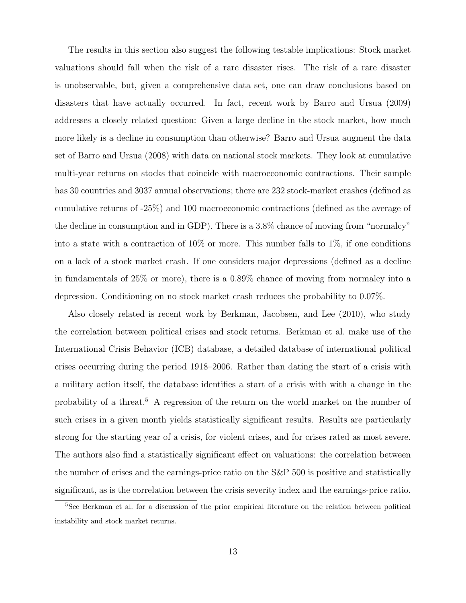The results in this section also suggest the following testable implications: Stock market valuations should fall when the risk of a rare disaster rises. The risk of a rare disaster is unobservable, but, given a comprehensive data set, one can draw conclusions based on disasters that have actually occurred. In fact, recent work by Barro and Ursua (2009) addresses a closely related question: Given a large decline in the stock market, how much more likely is a decline in consumption than otherwise? Barro and Ursua augment the data set of Barro and Ursua (2008) with data on national stock markets. They look at cumulative multi-year returns on stocks that coincide with macroeconomic contractions. Their sample has 30 countries and 3037 annual observations; there are 232 stock-market crashes (defined as cumulative returns of -25%) and 100 macroeconomic contractions (defined as the average of the decline in consumption and in GDP). There is a 3.8% chance of moving from "normalcy" into a state with a contraction of  $10\%$  or more. This number falls to  $1\%$ , if one conditions on a lack of a stock market crash. If one considers major depressions (defined as a decline in fundamentals of 25% or more), there is a 0.89% chance of moving from normalcy into a depression. Conditioning on no stock market crash reduces the probability to 0.07%.

Also closely related is recent work by Berkman, Jacobsen, and Lee (2010), who study the correlation between political crises and stock returns. Berkman et al. make use of the International Crisis Behavior (ICB) database, a detailed database of international political crises occurring during the period 1918–2006. Rather than dating the start of a crisis with a military action itself, the database identifies a start of a crisis with with a change in the probability of a threat.<sup>5</sup> A regression of the return on the world market on the number of such crises in a given month yields statistically significant results. Results are particularly strong for the starting year of a crisis, for violent crises, and for crises rated as most severe. The authors also find a statistically significant effect on valuations: the correlation between the number of crises and the earnings-price ratio on the S&P 500 is positive and statistically significant, as is the correlation between the crisis severity index and the earnings-price ratio.

<sup>5</sup>See Berkman et al. for a discussion of the prior empirical literature on the relation between political instability and stock market returns.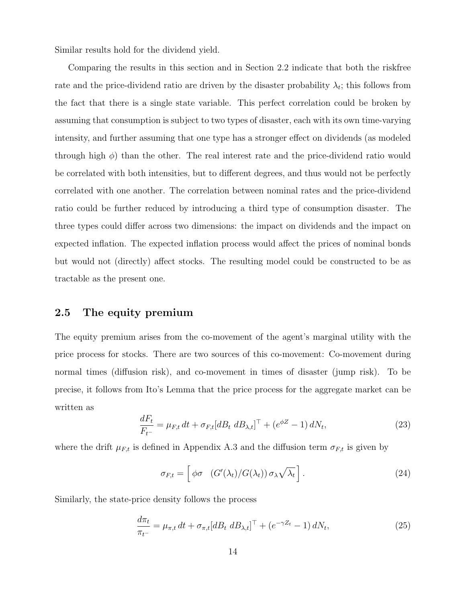Similar results hold for the dividend yield.

Comparing the results in this section and in Section 2.2 indicate that both the riskfree rate and the price-dividend ratio are driven by the disaster probability  $\lambda_t$ ; this follows from the fact that there is a single state variable. This perfect correlation could be broken by assuming that consumption is subject to two types of disaster, each with its own time-varying intensity, and further assuming that one type has a stronger effect on dividends (as modeled through high  $\phi$ ) than the other. The real interest rate and the price-dividend ratio would be correlated with both intensities, but to different degrees, and thus would not be perfectly correlated with one another. The correlation between nominal rates and the price-dividend ratio could be further reduced by introducing a third type of consumption disaster. The three types could differ across two dimensions: the impact on dividends and the impact on expected inflation. The expected inflation process would affect the prices of nominal bonds but would not (directly) affect stocks. The resulting model could be constructed to be as tractable as the present one.

#### 2.5 The equity premium

The equity premium arises from the co-movement of the agent's marginal utility with the price process for stocks. There are two sources of this co-movement: Co-movement during normal times (diffusion risk), and co-movement in times of disaster (jump risk). To be precise, it follows from Ito's Lemma that the price process for the aggregate market can be written as

$$
\frac{dF_t}{F_{t-}} = \mu_{F,t} dt + \sigma_{F,t} [dB_t \ dB_{\lambda,t}]^\top + (e^{\phi Z} - 1) \ dN_t,\tag{23}
$$

where the drift  $\mu_{F,t}$  is defined in Appendix A.3 and the diffusion term  $\sigma_{F,t}$  is given by

$$
\sigma_{F,t} = \left[ \phi \sigma \left( G'(\lambda_t) / G(\lambda_t) \right) \sigma_\lambda \sqrt{\lambda_t} \right]. \tag{24}
$$

Similarly, the state-price density follows the process

$$
\frac{d\pi_t}{\pi_{t-}} = \mu_{\pi,t} dt + \sigma_{\pi,t} [dB_t dB_{\lambda,t}]^\top + (e^{-\gamma Z_t} - 1) dN_t,
$$
\n(25)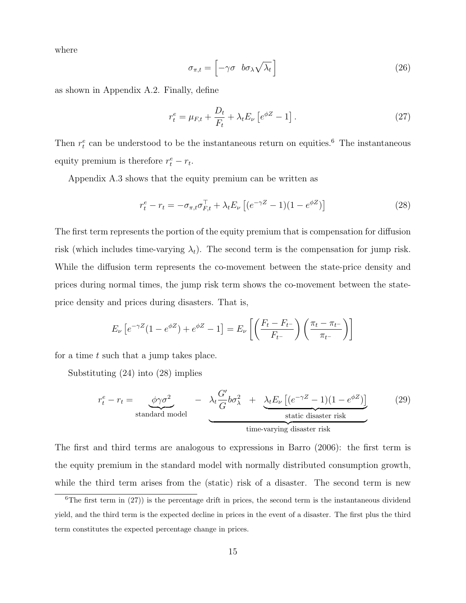where

$$
\sigma_{\pi,t} = \left[ -\gamma \sigma \quad b\sigma_\lambda \sqrt{\lambda_t} \right] \tag{26}
$$

as shown in Appendix A.2. Finally, define

$$
r_t^e = \mu_{F,t} + \frac{D_t}{F_t} + \lambda_t E_\nu \left[ e^{\phi Z} - 1 \right]. \tag{27}
$$

Then  $r_t^e$  can be understood to be the instantaneous return on equities.<sup>6</sup> The instantaneous equity premium is therefore  $r_t^e - r_t$ .

Appendix A.3 shows that the equity premium can be written as

$$
r_t^e - r_t = -\sigma_{\pi, t}\sigma_{F, t}^\top + \lambda_t E_\nu \left[ (e^{-\gamma Z} - 1)(1 - e^{\phi Z}) \right]
$$
 (28)

The first term represents the portion of the equity premium that is compensation for diffusion risk (which includes time-varying  $\lambda_t$ ). The second term is the compensation for jump risk. While the diffusion term represents the co-movement between the state-price density and prices during normal times, the jump risk term shows the co-movement between the stateprice density and prices during disasters. That is,

$$
E_{\nu} \left[ e^{-\gamma Z} (1 - e^{\phi Z}) + e^{\phi Z} - 1 \right] = E_{\nu} \left[ \left( \frac{F_t - F_{t^{-}}}{F_{t^{-}}} \right) \left( \frac{\pi_t - \pi_{t^{-}}}{\pi_{t^{-}}} \right) \right]
$$

for a time t such that a jump takes place.

Substituting (24) into (28) implies

$$
r_t^e - r_t = \underbrace{\phi \gamma \sigma^2}_{\text{standard model}} - \underbrace{\lambda_t \frac{G'}{G} b \sigma_\lambda^2 + \underbrace{\lambda_t E_\nu \left[ (e^{-\gamma Z} - 1)(1 - e^{\phi Z}) \right]}_{\text{static disaster risk}}
$$
 (29)

The first and third terms are analogous to expressions in Barro (2006): the first term is the equity premium in the standard model with normally distributed consumption growth, while the third term arises from the (static) risk of a disaster. The second term is new

 ${}^{6}$ The first term in (27)) is the percentage drift in prices, the second term is the instantaneous dividend yield, and the third term is the expected decline in prices in the event of a disaster. The first plus the third term constitutes the expected percentage change in prices.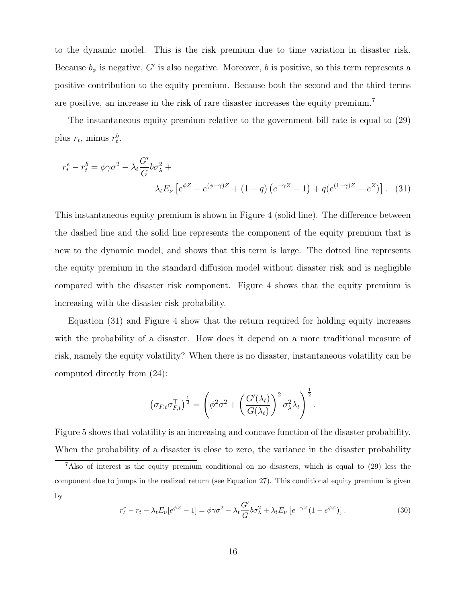to the dynamic model. This is the risk premium due to time variation in disaster risk. Because  $b_{\phi}$  is negative, G' is also negative. Moreover, b is positive, so this term represents a positive contribution to the equity premium. Because both the second and the third terms are positive, an increase in the risk of rare disaster increases the equity premium.<sup>7</sup>

The instantaneous equity premium relative to the government bill rate is equal to (29) plus  $r_t$ , minus  $r_t^b$ .

$$
r_t^e - r_t^b = \phi \gamma \sigma^2 - \lambda_t \frac{G'}{G} b \sigma_\lambda^2 + \lambda_t E_\nu \left[ e^{\phi Z} - e^{(\phi - \gamma)Z} + (1 - q) \left( e^{-\gamma Z} - 1 \right) + q \left( e^{(1 - \gamma)Z} - e^Z \right) \right].
$$
 (31)

This instantaneous equity premium is shown in Figure 4 (solid line). The difference between the dashed line and the solid line represents the component of the equity premium that is new to the dynamic model, and shows that this term is large. The dotted line represents the equity premium in the standard diffusion model without disaster risk and is negligible compared with the disaster risk component. Figure 4 shows that the equity premium is increasing with the disaster risk probability.

Equation (31) and Figure 4 show that the return required for holding equity increases with the probability of a disaster. How does it depend on a more traditional measure of risk, namely the equity volatility? When there is no disaster, instantaneous volatility can be computed directly from (24):

$$
\left(\sigma_{F,t}\sigma_{F,t}^{\top}\right)^{\frac{1}{2}} = \left(\phi^2\sigma^2 + \left(\frac{G'(\lambda_t)}{G(\lambda_t)}\right)^2 \sigma_{\lambda}^2\lambda_t\right)^{\frac{1}{2}}.
$$

Figure 5 shows that volatility is an increasing and concave function of the disaster probability. When the probability of a disaster is close to zero, the variance in the disaster probability

$$
r_t^e - r_t - \lambda_t E_\nu [e^{\phi Z} - 1] = \phi \gamma \sigma^2 - \lambda_t \frac{G'}{G} b \sigma_\lambda^2 + \lambda_t E_\nu [e^{-\gamma Z} (1 - e^{\phi Z})]. \tag{30}
$$

<sup>7</sup>Also of interest is the equity premium conditional on no disasters, which is equal to (29) less the component due to jumps in the realized return (see Equation 27). This conditional equity premium is given by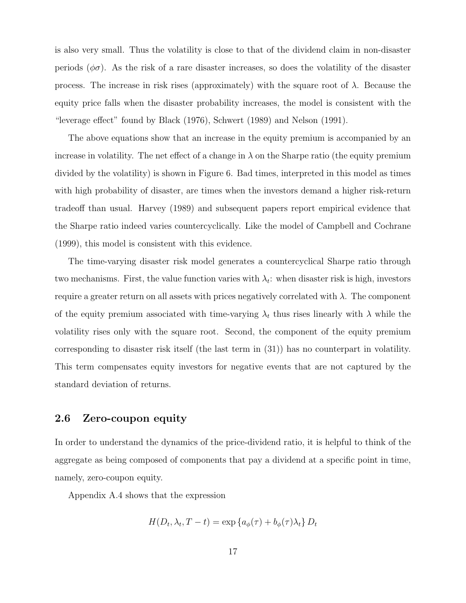is also very small. Thus the volatility is close to that of the dividend claim in non-disaster periods  $(\phi \sigma)$ . As the risk of a rare disaster increases, so does the volatility of the disaster process. The increase in risk rises (approximately) with the square root of  $\lambda$ . Because the equity price falls when the disaster probability increases, the model is consistent with the "leverage effect" found by Black (1976), Schwert (1989) and Nelson (1991).

The above equations show that an increase in the equity premium is accompanied by an increase in volatility. The net effect of a change in  $\lambda$  on the Sharpe ratio (the equity premium divided by the volatility) is shown in Figure 6. Bad times, interpreted in this model as times with high probability of disaster, are times when the investors demand a higher risk-return tradeoff than usual. Harvey (1989) and subsequent papers report empirical evidence that the Sharpe ratio indeed varies countercyclically. Like the model of Campbell and Cochrane (1999), this model is consistent with this evidence.

The time-varying disaster risk model generates a countercyclical Sharpe ratio through two mechanisms. First, the value function varies with  $\lambda_t$ : when disaster risk is high, investors require a greater return on all assets with prices negatively correlated with  $\lambda$ . The component of the equity premium associated with time-varying  $\lambda_t$  thus rises linearly with  $\lambda$  while the volatility rises only with the square root. Second, the component of the equity premium corresponding to disaster risk itself (the last term in (31)) has no counterpart in volatility. This term compensates equity investors for negative events that are not captured by the standard deviation of returns.

#### 2.6 Zero-coupon equity

In order to understand the dynamics of the price-dividend ratio, it is helpful to think of the aggregate as being composed of components that pay a dividend at a specific point in time, namely, zero-coupon equity.

Appendix A.4 shows that the expression

$$
H(D_t, \lambda_t, T - t) = \exp \{a_{\phi}(\tau) + b_{\phi}(\tau) \lambda_t\} D_t
$$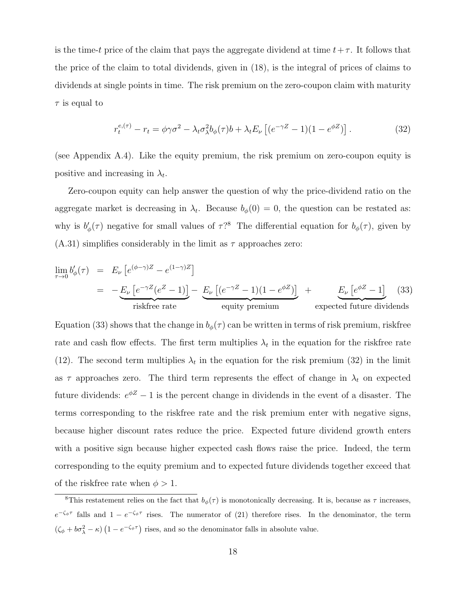is the time-t price of the claim that pays the aggregate dividend at time  $t+\tau$ . It follows that the price of the claim to total dividends, given in (18), is the integral of prices of claims to dividends at single points in time. The risk premium on the zero-coupon claim with maturity  $\tau$  is equal to

$$
r_t^{e,(\tau)} - r_t = \phi \gamma \sigma^2 - \lambda_t \sigma_\lambda^2 b_\phi(\tau) b + \lambda_t E_\nu \left[ (e^{-\gamma Z} - 1)(1 - e^{\phi Z}) \right]. \tag{32}
$$

(see Appendix A.4). Like the equity premium, the risk premium on zero-coupon equity is positive and increasing in  $\lambda_t$ .

Zero-coupon equity can help answer the question of why the price-dividend ratio on the aggregate market is decreasing in  $\lambda_t$ . Because  $b_{\phi}(0) = 0$ , the question can be restated as: why is  $b'_{\phi}(\tau)$  negative for small values of  $\tau$ ?<sup>8</sup> The differential equation for  $b_{\phi}(\tau)$ , given by  $(A.31)$  simplifies considerably in the limit as  $\tau$  approaches zero:

$$
\lim_{\tau \to 0} b'_{\phi}(\tau) = E_{\nu} \left[ e^{(\phi - \gamma)Z} - e^{(1 - \gamma)Z} \right]
$$
\n
$$
= - \underbrace{E_{\nu} \left[ e^{-\gamma Z} (e^{Z} - 1) \right] - E_{\nu} \left[ (e^{-\gamma Z} - 1)(1 - e^{\phi Z}) \right]}_{\text{riskfree rate}} + \underbrace{E_{\nu} \left[ e^{\phi Z} - 1 \right]}_{\text{equity premium}} \quad (33)
$$
\n
$$
\text{expected future dividends}
$$

Equation (33) shows that the change in  $b_{\phi}(\tau)$  can be written in terms of risk premium, riskfree rate and cash flow effects. The first term multiplies  $\lambda_t$  in the equation for the riskfree rate (12). The second term multiplies  $\lambda_t$  in the equation for the risk premium (32) in the limit as  $\tau$  approaches zero. The third term represents the effect of change in  $\lambda_t$  on expected future dividends:  $e^{\phi Z} - 1$  is the percent change in dividends in the event of a disaster. The terms corresponding to the riskfree rate and the risk premium enter with negative signs, because higher discount rates reduce the price. Expected future dividend growth enters with a positive sign because higher expected cash flows raise the price. Indeed, the term corresponding to the equity premium and to expected future dividends together exceed that of the riskfree rate when  $\phi > 1$ .

<sup>&</sup>lt;sup>8</sup>This restatement relies on the fact that  $b_{\phi}(\tau)$  is monotonically decreasing. It is, because as  $\tau$  increases,  $e^{-\zeta_{\phi}\tau}$  falls and  $1-e^{-\zeta_{\phi}\tau}$  rises. The numerator of (21) therefore rises. In the denominator, the term  $(\zeta_{\phi} + b\sigma_{\lambda}^2 - \kappa) (1 - e^{-\zeta_{\phi}\tau})$  rises, and so the denominator falls in absolute value.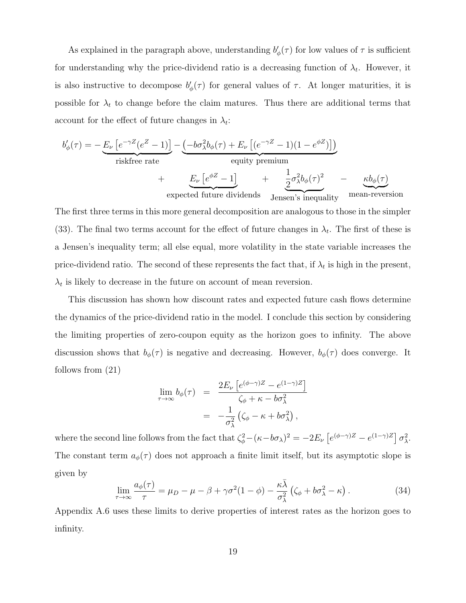As explained in the paragraph above, understanding  $b'_{\phi}(\tau)$  for low values of  $\tau$  is sufficient for understanding why the price-dividend ratio is a decreasing function of  $\lambda_t$ . However, it is also instructive to decompose  $b'_{\phi}(\tau)$  for general values of  $\tau$ . At longer maturities, it is possible for  $\lambda_t$  to change before the claim matures. Thus there are additional terms that account for the effect of future changes in  $\lambda_t$ :

$$
b'_{\phi}(\tau) = -\underbrace{E_{\nu} \left[e^{-\gamma Z}(e^{Z} - 1)\right]}_{\text{riskfree rate}} - \underbrace{\left(-b\sigma_{\lambda}^{2}b_{\phi}(\tau) + E_{\nu} \left[(e^{-\gamma Z} - 1)(1 - e^{\phi Z})\right]\right)}_{\text{equity premium}} + \underbrace{E_{\nu} \left[e^{\phi Z} - 1\right]}_{\text{expected future dividends}} + \underbrace{\frac{1}{2}\sigma_{\lambda}^{2}b_{\phi}(\tau)^{2}}_{\text{Jensen's inequality}} - \underbrace{\kappa b_{\phi}(\tau)}_{\text{mean-reversion}}
$$

The first three terms in this more general decomposition are analogous to those in the simpler (33). The final two terms account for the effect of future changes in  $\lambda_t$ . The first of these is a Jensen's inequality term; all else equal, more volatility in the state variable increases the price-dividend ratio. The second of these represents the fact that, if  $\lambda_t$  is high in the present,  $\lambda_t$  is likely to decrease in the future on account of mean reversion.

This discussion has shown how discount rates and expected future cash flows determine the dynamics of the price-dividend ratio in the model. I conclude this section by considering the limiting properties of zero-coupon equity as the horizon goes to infinity. The above discussion shows that  $b_{\phi}(\tau)$  is negative and decreasing. However,  $b_{\phi}(\tau)$  does converge. It follows from (21)

$$
\lim_{\tau \to \infty} b_{\phi}(\tau) = \frac{2E_{\nu} \left[ e^{(\phi - \gamma)Z} - e^{(1 - \gamma)Z} \right]}{\zeta_{\phi} + \kappa - b\sigma_{\lambda}^{2}}
$$
\n
$$
= -\frac{1}{\sigma_{\lambda}^{2}} \left( \zeta_{\phi} - \kappa + b\sigma_{\lambda}^{2} \right),
$$

where the second line follows from the fact that  $\zeta_{\phi}^2 - (\kappa - b\sigma_{\lambda})^2 = -2E_{\nu} \left[ e^{(\phi - \gamma)Z} - e^{(1-\gamma)Z} \right] \sigma_{\lambda}^2$ . The constant term  $a_{\phi}(\tau)$  does not approach a finite limit itself, but its asymptotic slope is given by

$$
\lim_{\tau \to \infty} \frac{a_{\phi}(\tau)}{\tau} = \mu_D - \mu - \beta + \gamma \sigma^2 (1 - \phi) - \frac{\kappa \bar{\lambda}}{\sigma_{\lambda}^2} \left( \zeta_{\phi} + b \sigma_{\lambda}^2 - \kappa \right). \tag{34}
$$

Appendix A.6 uses these limits to derive properties of interest rates as the horizon goes to infinity.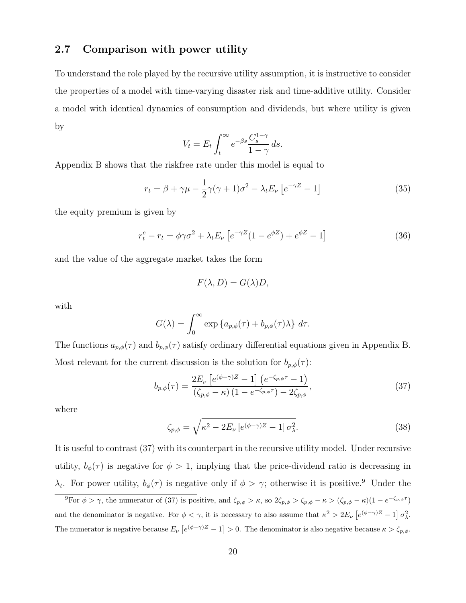#### 2.7 Comparison with power utility

To understand the role played by the recursive utility assumption, it is instructive to consider the properties of a model with time-varying disaster risk and time-additive utility. Consider a model with identical dynamics of consumption and dividends, but where utility is given by

$$
V_t = E_t \int_t^{\infty} e^{-\beta s} \frac{C_s^{1-\gamma}}{1-\gamma} ds.
$$

Appendix B shows that the riskfree rate under this model is equal to

$$
r_t = \beta + \gamma \mu - \frac{1}{2} \gamma (\gamma + 1) \sigma^2 - \lambda_t E_\nu \left[ e^{-\gamma Z} - 1 \right]
$$
 (35)

the equity premium is given by

$$
r_t^e - r_t = \phi \gamma \sigma^2 + \lambda_t E_\nu \left[ e^{-\gamma Z} (1 - e^{\phi Z}) + e^{\phi Z} - 1 \right]
$$
 (36)

and the value of the aggregate market takes the form

$$
F(\lambda, D) = G(\lambda)D,
$$

with

$$
G(\lambda) = \int_0^\infty \exp\left\{ a_{p,\phi}(\tau) + b_{p,\phi}(\tau) \lambda \right\} d\tau.
$$

The functions  $a_{p,\phi}(\tau)$  and  $b_{p,\phi}(\tau)$  satisfy ordinary differential equations given in Appendix B. Most relevant for the current discussion is the solution for  $b_{p,\phi}(\tau)$ :

$$
b_{p,\phi}(\tau) = \frac{2E_{\nu}\left[e^{(\phi-\gamma)Z} - 1\right]\left(e^{-\zeta_{p,\phi}\tau} - 1\right)}{(\zeta_{p,\phi} - \kappa)\left(1 - e^{-\zeta_{p,\phi}\tau}\right) - 2\zeta_{p,\phi}},\tag{37}
$$

where

$$
\zeta_{p,\phi} = \sqrt{\kappa^2 - 2E_\nu \left[e^{(\phi - \gamma)Z} - 1\right] \sigma_\lambda^2}.\tag{38}
$$

It is useful to contrast (37) with its counterpart in the recursive utility model. Under recursive utility,  $b_{\phi}(\tau)$  is negative for  $\phi > 1$ , implying that the price-dividend ratio is decreasing in  $\lambda_t$ . For power utility,  $b_{\phi}(\tau)$  is negative only if  $\phi > \gamma$ ; otherwise it is positive.<sup>9</sup> Under the

<sup>&</sup>lt;sup>9</sup>For  $\phi > \gamma$ , the numerator of (37) is positive, and  $\zeta_{p,\phi} > \kappa$ , so  $2\zeta_{p,\phi} > \zeta_{p,\phi} - \kappa > (\zeta_{p,\phi} - \kappa)(1 - e^{-\zeta_{p,\phi} \tau})$ and the denominator is negative. For  $\phi < \gamma$ , it is necessary to also assume that  $\kappa^2 > 2E_\nu \left[ e^{(\phi - \gamma)Z} - 1 \right] \sigma_\lambda^2$ . The numerator is negative because  $E_{\nu} [e^{(\phi - \gamma)Z} - 1] > 0$ . The denominator is also negative because  $\kappa > \zeta_{p,\phi}$ .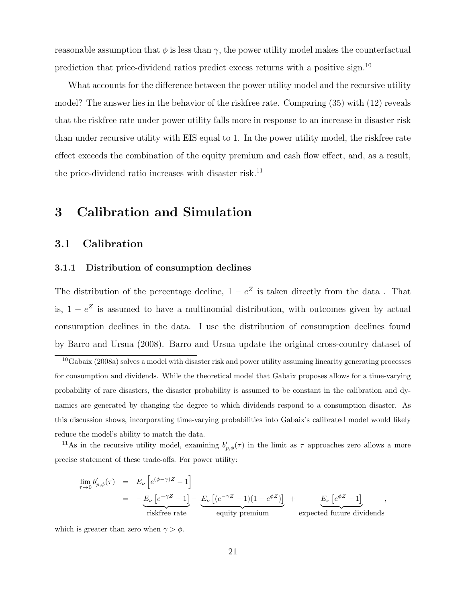reasonable assumption that  $\phi$  is less than  $\gamma$ , the power utility model makes the counterfactual prediction that price-dividend ratios predict excess returns with a positive sign.<sup>10</sup>

What accounts for the difference between the power utility model and the recursive utility model? The answer lies in the behavior of the riskfree rate. Comparing (35) with (12) reveals that the riskfree rate under power utility falls more in response to an increase in disaster risk than under recursive utility with EIS equal to 1. In the power utility model, the riskfree rate effect exceeds the combination of the equity premium and cash flow effect, and, as a result, the price-dividend ratio increases with disaster risk.<sup>11</sup>

# 3 Calibration and Simulation

#### 3.1 Calibration

#### 3.1.1 Distribution of consumption declines

The distribution of the percentage decline,  $1 - e^Z$  is taken directly from the data. That is,  $1 - e^z$  is assumed to have a multinomial distribution, with outcomes given by actual consumption declines in the data. I use the distribution of consumption declines found by Barro and Ursua (2008). Barro and Ursua update the original cross-country dataset of

 $10G$ abaix (2008a) solves a model with disaster risk and power utility assuming linearity generating processes for consumption and dividends. While the theoretical model that Gabaix proposes allows for a time-varying probability of rare disasters, the disaster probability is assumed to be constant in the calibration and dynamics are generated by changing the degree to which dividends respond to a consumption disaster. As this discussion shows, incorporating time-varying probabilities into Gabaix's calibrated model would likely reduce the model's ability to match the data.

<sup>11</sup>As in the recursive utility model, examining  $b'_{p,\phi}(\tau)$  in the limit as  $\tau$  approaches zero allows a more precise statement of these trade-offs. For power utility:

$$
\lim_{\tau \to 0} b'_{p,\phi}(\tau) = E_{\nu} \left[ e^{(\phi - \gamma)Z} - 1 \right]
$$
\n
$$
= - \underbrace{E_{\nu} \left[ e^{-\gamma Z} - 1 \right]}_{\text{riskfree rate}} - \underbrace{E_{\nu} \left[ (e^{-\gamma Z} - 1)(1 - e^{\phi Z}) \right]}_{\text{equity premium}} + \underbrace{E_{\nu} \left[ e^{\phi Z} - 1 \right]}_{\text{expected future dividends}},
$$

which is greater than zero when  $\gamma > \phi$ .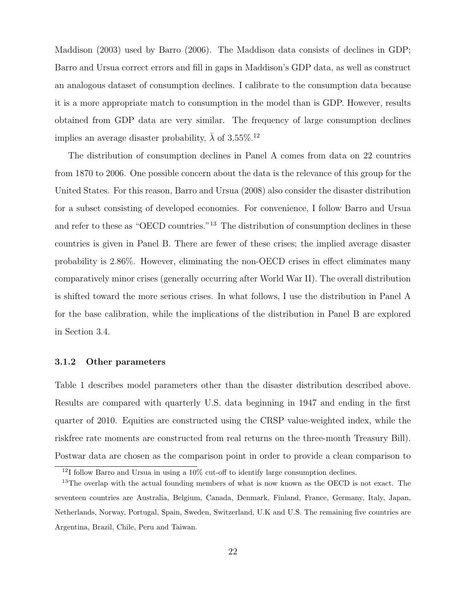Maddison (2003) used by Barro (2006). The Maddison data consists of declines in GDP; Barro and Ursua correct errors and fill in gaps in Maddison's GDP data, as well as construct an analogous dataset of consumption declines. I calibrate to the consumption data because it is a more appropriate match to consumption in the model than is GDP. However, results obtained from GDP data are very similar. The frequency of large consumption declines implies an average disaster probability,  $\bar{\lambda}$  of 3.55%.<sup>12</sup>

The distribution of consumption declines in Panel A comes from data on 22 countries from 1870 to 2006. One possible concern about the data is the relevance of this group for the United States. For this reason, Barro and Ursua (2008) also consider the disaster distribution for a subset consisting of developed economies. For convenience, I follow Barro and Ursua and refer to these as "OECD countries."<sup>13</sup> The distribution of consumption declines in these countries is given in Panel B. There are fewer of these crises; the implied average disaster probability is 2.86%. However, eliminating the non-OECD crises in effect eliminates many comparatively minor crises (generally occurring after World War II). The overall distribution is shifted toward the more serious crises. In what follows, I use the distribution in Panel A for the base calibration, while the implications of the distribution in Panel B are explored in Section 3.4.

#### 3.1.2 Other parameters

Table 1 describes model parameters other than the disaster distribution described above. Results are compared with quarterly U.S. data beginning in 1947 and ending in the first quarter of 2010. Equities are constructed using the CRSP value-weighted index, while the riskfree rate moments are constructed from real returns on the three-month Treasury Bill). Postwar data are chosen as the comparison point in order to provide a clean comparison to

 $12I$  follow Barro and Ursua in using a 10% cut-off to identify large consumption declines.

<sup>&</sup>lt;sup>13</sup>The overlap with the actual founding members of what is now known as the OECD is not exact. The seventeen countries are Australia, Belgium, Canada, Denmark, Finland, France, Germany, Italy, Japan, Netherlands, Norway, Portugal, Spain, Sweden, Switzerland, U.K and U.S. The remaining five countries are Argentina, Brazil, Chile, Peru and Taiwan.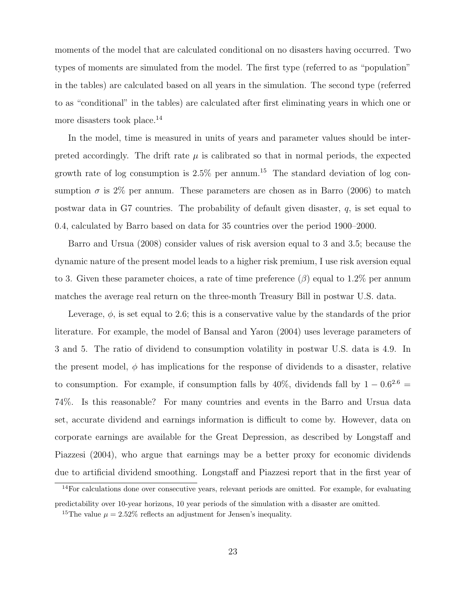moments of the model that are calculated conditional on no disasters having occurred. Two types of moments are simulated from the model. The first type (referred to as "population" in the tables) are calculated based on all years in the simulation. The second type (referred to as "conditional" in the tables) are calculated after first eliminating years in which one or more disasters took place.<sup>14</sup>

In the model, time is measured in units of years and parameter values should be interpreted accordingly. The drift rate  $\mu$  is calibrated so that in normal periods, the expected growth rate of log consumption is  $2.5\%$  per annum.<sup>15</sup> The standard deviation of log consumption  $\sigma$  is 2% per annum. These parameters are chosen as in Barro (2006) to match postwar data in G7 countries. The probability of default given disaster, q, is set equal to 0.4, calculated by Barro based on data for 35 countries over the period 1900–2000.

Barro and Ursua (2008) consider values of risk aversion equal to 3 and 3.5; because the dynamic nature of the present model leads to a higher risk premium, I use risk aversion equal to 3. Given these parameter choices, a rate of time preference  $(\beta)$  equal to 1.2% per annum matches the average real return on the three-month Treasury Bill in postwar U.S. data.

Leverage,  $\phi$ , is set equal to 2.6; this is a conservative value by the standards of the prior literature. For example, the model of Bansal and Yaron (2004) uses leverage parameters of 3 and 5. The ratio of dividend to consumption volatility in postwar U.S. data is 4.9. In the present model,  $\phi$  has implications for the response of dividends to a disaster, relative to consumption. For example, if consumption falls by  $40\%$ , dividends fall by  $1 - 0.6^{2.6} =$ 74%. Is this reasonable? For many countries and events in the Barro and Ursua data set, accurate dividend and earnings information is difficult to come by. However, data on corporate earnings are available for the Great Depression, as described by Longstaff and Piazzesi (2004), who argue that earnings may be a better proxy for economic dividends due to artificial dividend smoothing. Longstaff and Piazzesi report that in the first year of

<sup>&</sup>lt;sup>14</sup>For calculations done over consecutive years, relevant periods are omitted. For example, for evaluating predictability over 10-year horizons, 10 year periods of the simulation with a disaster are omitted.

<sup>&</sup>lt;sup>15</sup>The value  $\mu = 2.52\%$  reflects an adjustment for Jensen's inequality.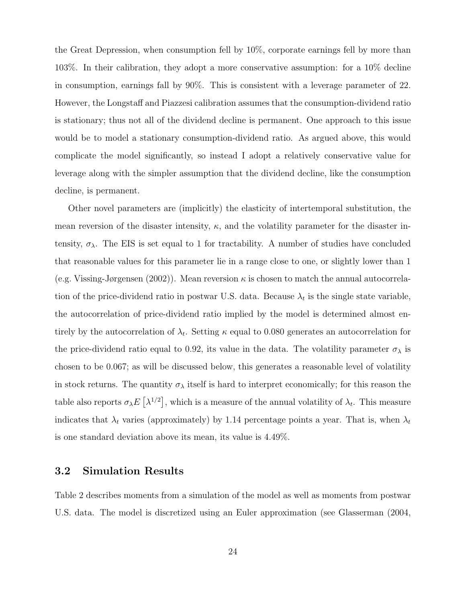the Great Depression, when consumption fell by 10%, corporate earnings fell by more than 103%. In their calibration, they adopt a more conservative assumption: for a 10% decline in consumption, earnings fall by 90%. This is consistent with a leverage parameter of 22. However, the Longstaff and Piazzesi calibration assumes that the consumption-dividend ratio is stationary; thus not all of the dividend decline is permanent. One approach to this issue would be to model a stationary consumption-dividend ratio. As argued above, this would complicate the model significantly, so instead I adopt a relatively conservative value for leverage along with the simpler assumption that the dividend decline, like the consumption decline, is permanent.

Other novel parameters are (implicitly) the elasticity of intertemporal substitution, the mean reversion of the disaster intensity,  $\kappa$ , and the volatility parameter for the disaster intensity,  $\sigma_{\lambda}$ . The EIS is set equal to 1 for tractability. A number of studies have concluded that reasonable values for this parameter lie in a range close to one, or slightly lower than 1 (e.g. Vissing-Jørgensen (2002)). Mean reversion  $\kappa$  is chosen to match the annual autocorrelation of the price-dividend ratio in postwar U.S. data. Because  $\lambda_t$  is the single state variable, the autocorrelation of price-dividend ratio implied by the model is determined almost entirely by the autocorrelation of  $\lambda_t$ . Setting  $\kappa$  equal to 0.080 generates an autocorrelation for the price-dividend ratio equal to 0.92, its value in the data. The volatility parameter  $\sigma_{\lambda}$  is chosen to be 0.067; as will be discussed below, this generates a reasonable level of volatility in stock returns. The quantity  $\sigma_{\lambda}$  itself is hard to interpret economically; for this reason the table also reports  $\sigma_{\lambda}E[\lambda^{1/2}]$ , which is a measure of the annual volatility of  $\lambda_t$ . This measure indicates that  $\lambda_t$  varies (approximately) by 1.14 percentage points a year. That is, when  $\lambda_t$ is one standard deviation above its mean, its value is 4.49%.

#### 3.2 Simulation Results

Table 2 describes moments from a simulation of the model as well as moments from postwar U.S. data. The model is discretized using an Euler approximation (see Glasserman (2004,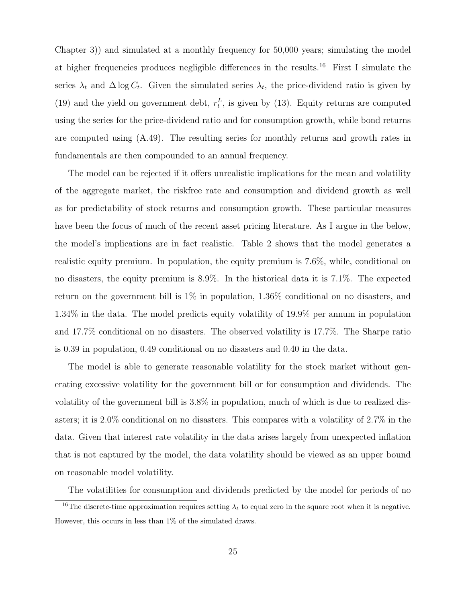Chapter 3)) and simulated at a monthly frequency for 50,000 years; simulating the model at higher frequencies produces negligible differences in the results.<sup>16</sup> First I simulate the series  $\lambda_t$  and  $\Delta \log C_t$ . Given the simulated series  $\lambda_t$ , the price-dividend ratio is given by (19) and the yield on government debt,  $r_t^L$ , is given by (13). Equity returns are computed using the series for the price-dividend ratio and for consumption growth, while bond returns are computed using (A.49). The resulting series for monthly returns and growth rates in fundamentals are then compounded to an annual frequency.

The model can be rejected if it offers unrealistic implications for the mean and volatility of the aggregate market, the riskfree rate and consumption and dividend growth as well as for predictability of stock returns and consumption growth. These particular measures have been the focus of much of the recent asset pricing literature. As I argue in the below, the model's implications are in fact realistic. Table 2 shows that the model generates a realistic equity premium. In population, the equity premium is 7.6%, while, conditional on no disasters, the equity premium is 8.9%. In the historical data it is 7.1%. The expected return on the government bill is 1% in population, 1.36% conditional on no disasters, and 1.34% in the data. The model predicts equity volatility of 19.9% per annum in population and 17.7% conditional on no disasters. The observed volatility is 17.7%. The Sharpe ratio is 0.39 in population, 0.49 conditional on no disasters and 0.40 in the data.

The model is able to generate reasonable volatility for the stock market without generating excessive volatility for the government bill or for consumption and dividends. The volatility of the government bill is 3.8% in population, much of which is due to realized disasters; it is 2.0% conditional on no disasters. This compares with a volatility of 2.7% in the data. Given that interest rate volatility in the data arises largely from unexpected inflation that is not captured by the model, the data volatility should be viewed as an upper bound on reasonable model volatility.

The volatilities for consumption and dividends predicted by the model for periods of no

<sup>&</sup>lt;sup>16</sup>The discrete-time approximation requires setting  $\lambda_t$  to equal zero in the square root when it is negative. However, this occurs in less than 1% of the simulated draws.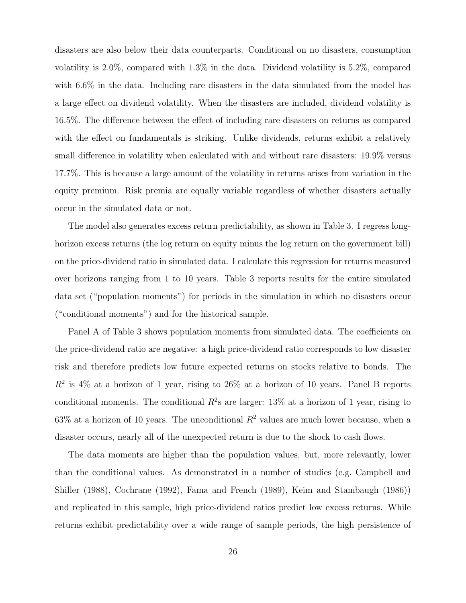disasters are also below their data counterparts. Conditional on no disasters, consumption volatility is 2.0%, compared with 1.3% in the data. Dividend volatility is 5.2%, compared with  $6.6\%$  in the data. Including rare disasters in the data simulated from the model has a large effect on dividend volatility. When the disasters are included, dividend volatility is 16.5%. The difference between the effect of including rare disasters on returns as compared with the effect on fundamentals is striking. Unlike dividends, returns exhibit a relatively small difference in volatility when calculated with and without rare disasters: 19.9% versus 17.7%. This is because a large amount of the volatility in returns arises from variation in the equity premium. Risk premia are equally variable regardless of whether disasters actually occur in the simulated data or not.

The model also generates excess return predictability, as shown in Table 3. I regress longhorizon excess returns (the log return on equity minus the log return on the government bill) on the price-dividend ratio in simulated data. I calculate this regression for returns measured over horizons ranging from 1 to 10 years. Table 3 reports results for the entire simulated data set ("population moments") for periods in the simulation in which no disasters occur ("conditional moments") and for the historical sample.

Panel A of Table 3 shows population moments from simulated data. The coefficients on the price-dividend ratio are negative: a high price-dividend ratio corresponds to low disaster risk and therefore predicts low future expected returns on stocks relative to bonds. The  $R^2$  is 4% at a horizon of 1 year, rising to 26% at a horizon of 10 years. Panel B reports conditional moments. The conditional  $R^2$ s are larger: 13% at a horizon of 1 year, rising to 63% at a horizon of 10 years. The unconditional  $R^2$  values are much lower because, when a disaster occurs, nearly all of the unexpected return is due to the shock to cash flows.

The data moments are higher than the population values, but, more relevantly, lower than the conditional values. As demonstrated in a number of studies (e.g. Campbell and Shiller (1988), Cochrane (1992), Fama and French (1989), Keim and Stambaugh (1986)) and replicated in this sample, high price-dividend ratios predict low excess returns. While returns exhibit predictability over a wide range of sample periods, the high persistence of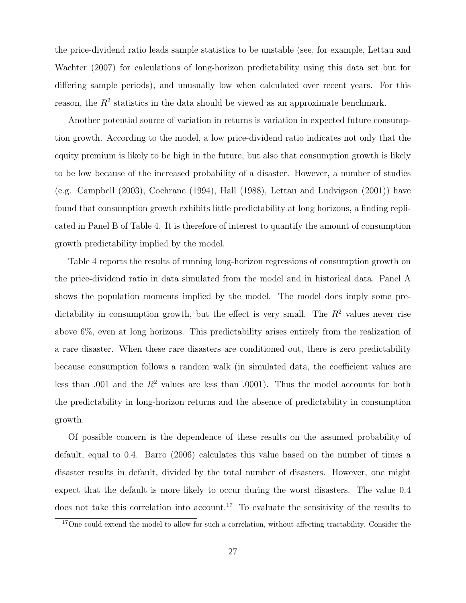the price-dividend ratio leads sample statistics to be unstable (see, for example, Lettau and Wachter (2007) for calculations of long-horizon predictability using this data set but for differing sample periods), and unusually low when calculated over recent years. For this reason, the  $R<sup>2</sup>$  statistics in the data should be viewed as an approximate benchmark.

Another potential source of variation in returns is variation in expected future consumption growth. According to the model, a low price-dividend ratio indicates not only that the equity premium is likely to be high in the future, but also that consumption growth is likely to be low because of the increased probability of a disaster. However, a number of studies (e.g. Campbell (2003), Cochrane (1994), Hall (1988), Lettau and Ludvigson (2001)) have found that consumption growth exhibits little predictability at long horizons, a finding replicated in Panel B of Table 4. It is therefore of interest to quantify the amount of consumption growth predictability implied by the model.

Table 4 reports the results of running long-horizon regressions of consumption growth on the price-dividend ratio in data simulated from the model and in historical data. Panel A shows the population moments implied by the model. The model does imply some predictability in consumption growth, but the effect is very small. The  $R^2$  values never rise above 6%, even at long horizons. This predictability arises entirely from the realization of a rare disaster. When these rare disasters are conditioned out, there is zero predictability because consumption follows a random walk (in simulated data, the coefficient values are less than .001 and the  $R^2$  values are less than .0001). Thus the model accounts for both the predictability in long-horizon returns and the absence of predictability in consumption growth.

Of possible concern is the dependence of these results on the assumed probability of default, equal to 0.4. Barro (2006) calculates this value based on the number of times a disaster results in default, divided by the total number of disasters. However, one might expect that the default is more likely to occur during the worst disasters. The value 0.4 does not take this correlation into account.<sup>17</sup> To evaluate the sensitivity of the results to

<sup>&</sup>lt;sup>17</sup>One could extend the model to allow for such a correlation, without affecting tractability. Consider the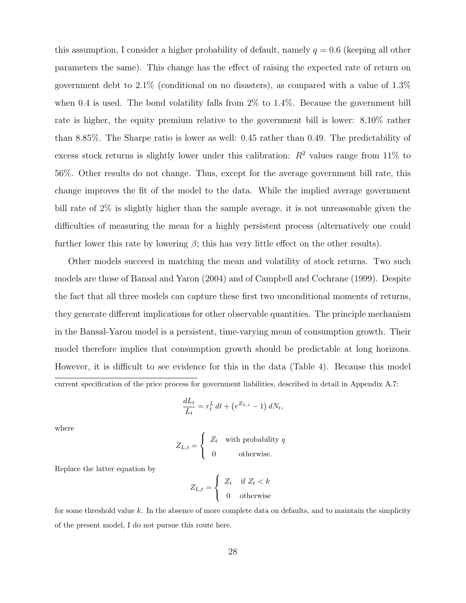this assumption, I consider a higher probability of default, namely  $q = 0.6$  (keeping all other parameters the same). This change has the effect of raising the expected rate of return on government debt to 2.1% (conditional on no disasters), as compared with a value of 1.3% when 0.4 is used. The bond volatility falls from 2% to 1.4%. Because the government bill rate is higher, the equity premium relative to the government bill is lower: 8.10% rather than 8.85%. The Sharpe ratio is lower as well: 0.45 rather than 0.49. The predictability of excess stock returns is slightly lower under this calibration:  $R^2$  values range from 11% to 56%. Other results do not change. Thus, except for the average government bill rate, this change improves the fit of the model to the data. While the implied average government bill rate of 2% is slightly higher than the sample average, it is not unreasonable given the difficulties of measuring the mean for a highly persistent process (alternatively one could further lower this rate by lowering  $\beta$ ; this has very little effect on the other results).

Other models succeed in matching the mean and volatility of stock returns. Two such models are those of Bansal and Yaron (2004) and of Campbell and Cochrane (1999). Despite the fact that all three models can capture these first two unconditional moments of returns, they generate different implications for other observable quantities. The principle mechanism in the Bansal-Yaron model is a persistent, time-varying mean of consumption growth. Their model therefore implies that consumption growth should be predictable at long horizons. However, it is difficult to see evidence for this in the data (Table 4). Because this model current specification of the price process for government liabilities, described in detail in Appendix A.7:

$$
\frac{dL_t}{L_t} = r_t^L dt + \left(e^{Z_{L,t}} - 1\right) dN_t,
$$

where

$$
Z_{L,t} = \begin{cases} Z_t & \text{with probability } q \\ 0 & \text{otherwise.} \end{cases}
$$

Replace the latter equation by

$$
Z_{L,t} = \begin{cases} Z_t & \text{if } Z_t < k \\ 0 & \text{otherwise} \end{cases}
$$

for some threshold value  $k$ . In the absence of more complete data on defaults, and to maintain the simplicity of the present model, I do not pursue this route here.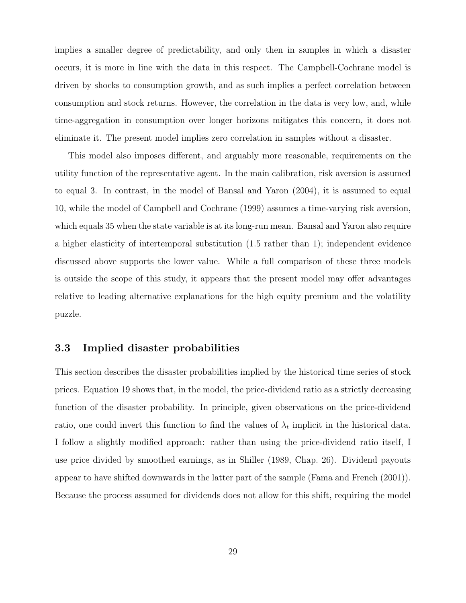implies a smaller degree of predictability, and only then in samples in which a disaster occurs, it is more in line with the data in this respect. The Campbell-Cochrane model is driven by shocks to consumption growth, and as such implies a perfect correlation between consumption and stock returns. However, the correlation in the data is very low, and, while time-aggregation in consumption over longer horizons mitigates this concern, it does not eliminate it. The present model implies zero correlation in samples without a disaster.

This model also imposes different, and arguably more reasonable, requirements on the utility function of the representative agent. In the main calibration, risk aversion is assumed to equal 3. In contrast, in the model of Bansal and Yaron (2004), it is assumed to equal 10, while the model of Campbell and Cochrane (1999) assumes a time-varying risk aversion, which equals 35 when the state variable is at its long-run mean. Bansal and Yaron also require a higher elasticity of intertemporal substitution (1.5 rather than 1); independent evidence discussed above supports the lower value. While a full comparison of these three models is outside the scope of this study, it appears that the present model may offer advantages relative to leading alternative explanations for the high equity premium and the volatility puzzle.

#### 3.3 Implied disaster probabilities

This section describes the disaster probabilities implied by the historical time series of stock prices. Equation 19 shows that, in the model, the price-dividend ratio as a strictly decreasing function of the disaster probability. In principle, given observations on the price-dividend ratio, one could invert this function to find the values of  $\lambda_t$  implicit in the historical data. I follow a slightly modified approach: rather than using the price-dividend ratio itself, I use price divided by smoothed earnings, as in Shiller (1989, Chap. 26). Dividend payouts appear to have shifted downwards in the latter part of the sample (Fama and French (2001)). Because the process assumed for dividends does not allow for this shift, requiring the model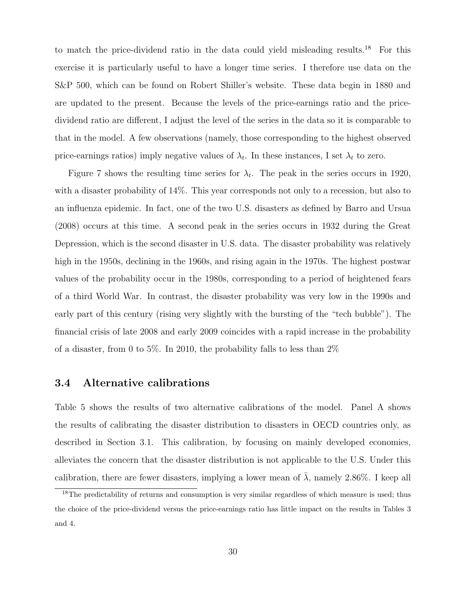to match the price-dividend ratio in the data could yield misleading results.<sup>18</sup> For this exercise it is particularly useful to have a longer time series. I therefore use data on the S&P 500, which can be found on Robert Shiller's website. These data begin in 1880 and are updated to the present. Because the levels of the price-earnings ratio and the pricedividend ratio are different, I adjust the level of the series in the data so it is comparable to that in the model. A few observations (namely, those corresponding to the highest observed price-earnings ratios) imply negative values of  $\lambda_t$ . In these instances, I set  $\lambda_t$  to zero.

Figure 7 shows the resulting time series for  $\lambda_t$ . The peak in the series occurs in 1920, with a disaster probability of 14%. This year corresponds not only to a recession, but also to an influenza epidemic. In fact, one of the two U.S. disasters as defined by Barro and Ursua (2008) occurs at this time. A second peak in the series occurs in 1932 during the Great Depression, which is the second disaster in U.S. data. The disaster probability was relatively high in the 1950s, declining in the 1960s, and rising again in the 1970s. The highest postwar values of the probability occur in the 1980s, corresponding to a period of heightened fears of a third World War. In contrast, the disaster probability was very low in the 1990s and early part of this century (rising very slightly with the bursting of the "tech bubble"). The financial crisis of late 2008 and early 2009 coincides with a rapid increase in the probability of a disaster, from 0 to 5%. In 2010, the probability falls to less than 2%

#### 3.4 Alternative calibrations

Table 5 shows the results of two alternative calibrations of the model. Panel A shows the results of calibrating the disaster distribution to disasters in OECD countries only, as described in Section 3.1. This calibration, by focusing on mainly developed economies, alleviates the concern that the disaster distribution is not applicable to the U.S. Under this calibration, there are fewer disasters, implying a lower mean of  $\bar{\lambda}$ , namely 2.86%. I keep all

<sup>&</sup>lt;sup>18</sup>The predictability of returns and consumption is very similar regardless of which measure is used; thus the choice of the price-dividend versus the price-earnings ratio has little impact on the results in Tables 3 and 4.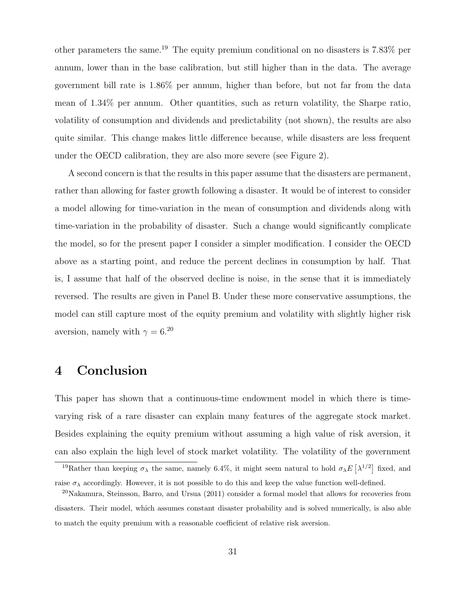other parameters the same.<sup>19</sup> The equity premium conditional on no disasters is 7.83% per annum, lower than in the base calibration, but still higher than in the data. The average government bill rate is 1.86% per annum, higher than before, but not far from the data mean of 1.34% per annum. Other quantities, such as return volatility, the Sharpe ratio, volatility of consumption and dividends and predictability (not shown), the results are also quite similar. This change makes little difference because, while disasters are less frequent under the OECD calibration, they are also more severe (see Figure 2).

A second concern is that the results in this paper assume that the disasters are permanent, rather than allowing for faster growth following a disaster. It would be of interest to consider a model allowing for time-variation in the mean of consumption and dividends along with time-variation in the probability of disaster. Such a change would significantly complicate the model, so for the present paper I consider a simpler modification. I consider the OECD above as a starting point, and reduce the percent declines in consumption by half. That is, I assume that half of the observed decline is noise, in the sense that it is immediately reversed. The results are given in Panel B. Under these more conservative assumptions, the model can still capture most of the equity premium and volatility with slightly higher risk aversion, namely with  $\gamma = 6^{20}$ 

## 4 Conclusion

This paper has shown that a continuous-time endowment model in which there is timevarying risk of a rare disaster can explain many features of the aggregate stock market. Besides explaining the equity premium without assuming a high value of risk aversion, it can also explain the high level of stock market volatility. The volatility of the government

<sup>&</sup>lt;sup>19</sup>Rather than keeping  $\sigma_{\lambda}$  the same, namely 6.4%, it might seem natural to hold  $\sigma_{\lambda}E[\lambda^{1/2}]$  fixed, and raise  $\sigma_{\lambda}$  accordingly. However, it is not possible to do this and keep the value function well-defined.

<sup>20</sup>Nakamura, Steinsson, Barro, and Ursua (2011) consider a formal model that allows for recoveries from disasters. Their model, which assumes constant disaster probability and is solved numerically, is also able to match the equity premium with a reasonable coefficient of relative risk aversion.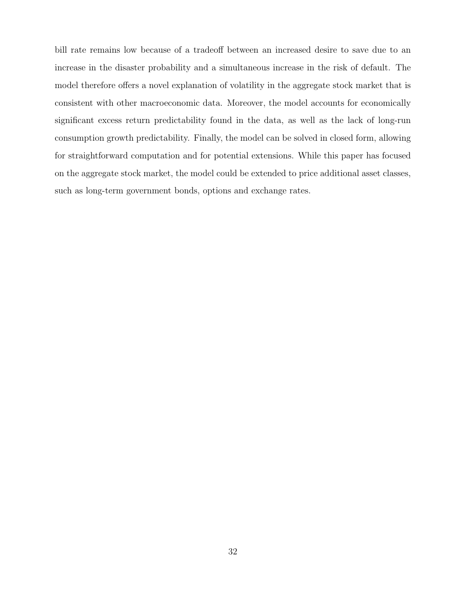bill rate remains low because of a tradeoff between an increased desire to save due to an increase in the disaster probability and a simultaneous increase in the risk of default. The model therefore offers a novel explanation of volatility in the aggregate stock market that is consistent with other macroeconomic data. Moreover, the model accounts for economically significant excess return predictability found in the data, as well as the lack of long-run consumption growth predictability. Finally, the model can be solved in closed form, allowing for straightforward computation and for potential extensions. While this paper has focused on the aggregate stock market, the model could be extended to price additional asset classes, such as long-term government bonds, options and exchange rates.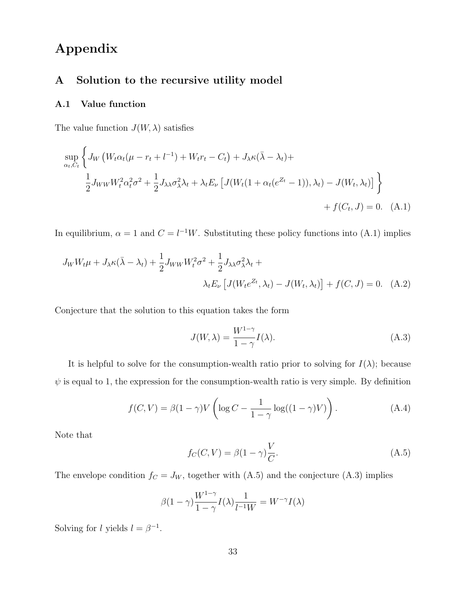# Appendix

#### A Solution to the recursive utility model

#### A.1 Value function

The value function  $J(W, \lambda)$  satisfies

$$
\sup_{\alpha_t, C_t} \left\{ J_W \left( W_t \alpha_t (\mu - r_t + l^{-1}) + W_t r_t - C_t \right) + J_\lambda \kappa (\bar{\lambda} - \lambda_t) + \frac{1}{2} J_{WW} W_t^2 \alpha_t^2 \sigma^2 + \frac{1}{2} J_{\lambda \lambda} \sigma_\lambda^2 \lambda_t + \lambda_t E_\nu \left[ J(W_t (1 + \alpha_t (e^{Z_t} - 1)), \lambda_t) - J(W_t, \lambda_t) \right] \right\}
$$
  
+  $f(C_t, J) = 0.$  (A.1)

In equilibrium,  $\alpha = 1$  and  $C = l^{-1}W$ . Substituting these policy functions into (A.1) implies

$$
J_W W_t \mu + J_\lambda \kappa (\bar{\lambda} - \lambda_t) + \frac{1}{2} J_{WW} W_t^2 \sigma^2 + \frac{1}{2} J_{\lambda \lambda} \sigma_\lambda^2 \lambda_t + \lambda_t E_\nu \left[ J(W_t e^{Z_t}, \lambda_t) - J(W_t, \lambda_t) \right] + f(C, J) = 0. \quad (A.2)
$$

Conjecture that the solution to this equation takes the form

$$
J(W, \lambda) = \frac{W^{1-\gamma}}{1-\gamma} I(\lambda).
$$
 (A.3)

It is helpful to solve for the consumption-wealth ratio prior to solving for  $I(\lambda)$ ; because  $\psi$  is equal to 1, the expression for the consumption-wealth ratio is very simple. By definition

$$
f(C,V) = \beta(1-\gamma)V\left(\log C - \frac{1}{1-\gamma}\log((1-\gamma)V)\right). \tag{A.4}
$$

Note that

$$
f_C(C, V) = \beta(1 - \gamma)\frac{V}{C}.
$$
\n(A.5)

The envelope condition  $f_C = J_W$ , together with (A.5) and the conjecture (A.3) implies

$$
\beta(1-\gamma)\frac{W^{1-\gamma}}{1-\gamma}I(\lambda)\frac{1}{l^{-1}W} = W^{-\gamma}I(\lambda)
$$

Solving for l yields  $l = \beta^{-1}$ .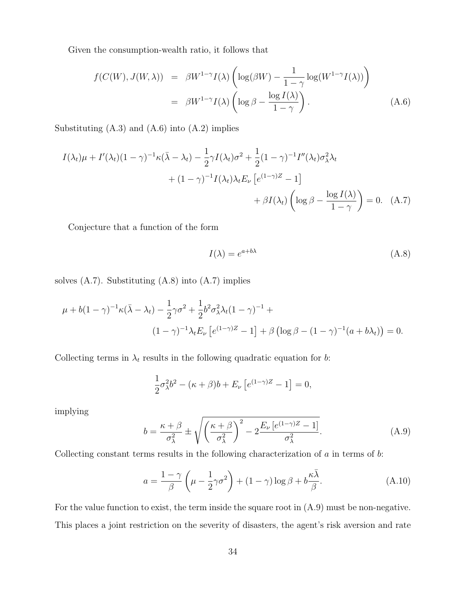Given the consumption-wealth ratio, it follows that

$$
f(C(W), J(W, \lambda)) = \beta W^{1-\gamma} I(\lambda) \left( \log(\beta W) - \frac{1}{1-\gamma} \log(W^{1-\gamma} I(\lambda)) \right)
$$
  
=  $\beta W^{1-\gamma} I(\lambda) \left( \log \beta - \frac{\log I(\lambda)}{1-\gamma} \right).$  (A.6)

Substituting  $(A.3)$  and  $(A.6)$  into  $(A.2)$  implies

$$
I(\lambda_t)\mu + I'(\lambda_t)(1-\gamma)^{-1}\kappa(\bar{\lambda} - \lambda_t) - \frac{1}{2}\gamma I(\lambda_t)\sigma^2 + \frac{1}{2}(1-\gamma)^{-1}I''(\lambda_t)\sigma_\lambda^2\lambda_t
$$
  
+ 
$$
(1-\gamma)^{-1}I(\lambda_t)\lambda_t E_\nu \left[e^{(1-\gamma)Z} - 1\right]
$$
  
+ 
$$
\beta I(\lambda_t) \left(\log \beta - \frac{\log I(\lambda)}{1-\gamma}\right) = 0. \quad (A.7)
$$

Conjecture that a function of the form

$$
I(\lambda) = e^{a+b\lambda} \tag{A.8}
$$

solves  $(A.7)$ . Substituting  $(A.8)$  into  $(A.7)$  implies

$$
\mu + b(1 - \gamma)^{-1} \kappa (\bar{\lambda} - \lambda_t) - \frac{1}{2} \gamma \sigma^2 + \frac{1}{2} b^2 \sigma_\lambda^2 \lambda_t (1 - \gamma)^{-1} +
$$
  

$$
(1 - \gamma)^{-1} \lambda_t E_\nu \left[ e^{(1 - \gamma)Z} - 1 \right] + \beta \left( \log \beta - (1 - \gamma)^{-1} (a + b\lambda_t) \right) = 0.
$$

Collecting terms in  $\lambda_t$  results in the following quadratic equation for b:

$$
\frac{1}{2}\sigma_{\lambda}^{2}b^{2} - (\kappa + \beta)b + E_{\nu}\left[e^{(1-\gamma)Z} - 1\right] = 0,
$$

implying

$$
b = \frac{\kappa + \beta}{\sigma_{\lambda}^{2}} \pm \sqrt{\left(\frac{\kappa + \beta}{\sigma_{\lambda}^{2}}\right)^{2} - 2\frac{E_{\nu}\left[e^{(1-\gamma)Z} - 1\right]}{\sigma_{\lambda}^{2}}}.
$$
 (A.9)

Collecting constant terms results in the following characterization of  $a$  in terms of  $b$ :

$$
a = \frac{1 - \gamma}{\beta} \left( \mu - \frac{1}{2} \gamma \sigma^2 \right) + (1 - \gamma) \log \beta + b \frac{\kappa \bar{\lambda}}{\beta}.
$$
 (A.10)

For the value function to exist, the term inside the square root in (A.9) must be non-negative. This places a joint restriction on the severity of disasters, the agent's risk aversion and rate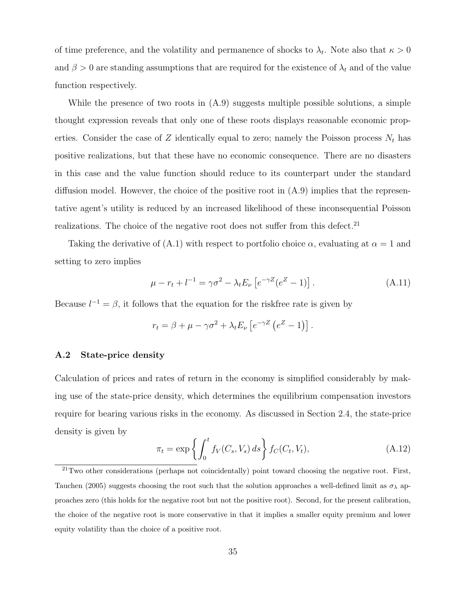of time preference, and the volatility and permanence of shocks to  $\lambda_t$ . Note also that  $\kappa > 0$ and  $\beta > 0$  are standing assumptions that are required for the existence of  $\lambda_t$  and of the value function respectively.

While the presence of two roots in  $(A.9)$  suggests multiple possible solutions, a simple thought expression reveals that only one of these roots displays reasonable economic properties. Consider the case of Z identically equal to zero; namely the Poisson process  $N_t$  has positive realizations, but that these have no economic consequence. There are no disasters in this case and the value function should reduce to its counterpart under the standard diffusion model. However, the choice of the positive root in  $(A.9)$  implies that the representative agent's utility is reduced by an increased likelihood of these inconsequential Poisson realizations. The choice of the negative root does not suffer from this defect.<sup>21</sup>

Taking the derivative of (A.1) with respect to portfolio choice  $\alpha$ , evaluating at  $\alpha = 1$  and setting to zero implies

$$
\mu - r_t + l^{-1} = \gamma \sigma^2 - \lambda_t E_\nu \left[ e^{-\gamma Z} (e^Z - 1) \right]. \tag{A.11}
$$

Because  $l^{-1} = \beta$ , it follows that the equation for the riskfree rate is given by

$$
r_t = \beta + \mu - \gamma \sigma^2 + \lambda_t E_\nu \left[ e^{-\gamma Z} \left( e^Z - 1 \right) \right].
$$

#### A.2 State-price density

Calculation of prices and rates of return in the economy is simplified considerably by making use of the state-price density, which determines the equilibrium compensation investors require for bearing various risks in the economy. As discussed in Section 2.4, the state-price density is given by

$$
\pi_t = \exp\left\{ \int_0^t f_V(C_s, V_s) \, ds \right\} f_C(C_t, V_t), \tag{A.12}
$$

 $^{21}$ Two other considerations (perhaps not coincidentally) point toward choosing the negative root. First, Tauchen (2005) suggests choosing the root such that the solution approaches a well-defined limit as  $\sigma_{\lambda}$  approaches zero (this holds for the negative root but not the positive root). Second, for the present calibration, the choice of the negative root is more conservative in that it implies a smaller equity premium and lower equity volatility than the choice of a positive root.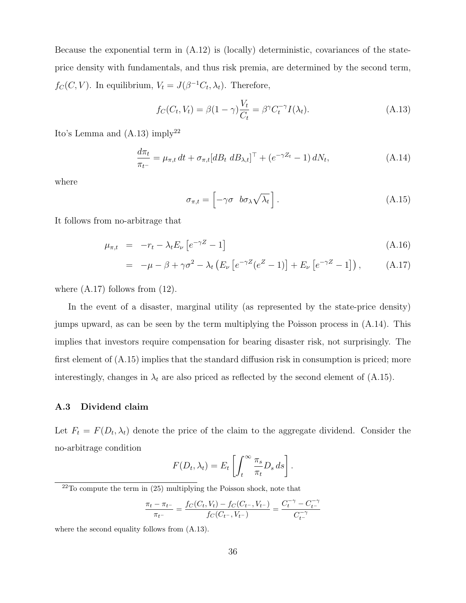Because the exponential term in (A.12) is (locally) deterministic, covariances of the stateprice density with fundamentals, and thus risk premia, are determined by the second term,  $f_C(C, V)$ . In equilibrium,  $V_t = J(\beta^{-1}C_t, \lambda_t)$ . Therefore,

$$
f_C(C_t, V_t) = \beta (1 - \gamma) \frac{V_t}{C_t} = \beta^{\gamma} C_t^{-\gamma} I(\lambda_t).
$$
 (A.13)

Ito's Lemma and  $(A.13)$  imply<sup>22</sup>

$$
\frac{d\pi_t}{\pi_{t^-}} = \mu_{\pi,t} dt + \sigma_{\pi,t} [dB_t dB_{\lambda,t}]^\top + (e^{-\gamma Z_t} - 1) dN_t,
$$
\n(A.14)

where

$$
\sigma_{\pi,t} = \left[ -\gamma \sigma \quad b\sigma_\lambda \sqrt{\lambda_t} \right]. \tag{A.15}
$$

It follows from no-arbitrage that

$$
\mu_{\pi,t} = -r_t - \lambda_t E_\nu \left[ e^{-\gamma Z} - 1 \right] \tag{A.16}
$$

$$
= -\mu - \beta + \gamma \sigma^2 - \lambda_t \left( E_\nu \left[ e^{-\gamma Z} (e^Z - 1) \right] + E_\nu \left[ e^{-\gamma Z} - 1 \right] \right), \tag{A.17}
$$

where  $(A.17)$  follows from  $(12)$ .

In the event of a disaster, marginal utility (as represented by the state-price density) jumps upward, as can be seen by the term multiplying the Poisson process in (A.14). This implies that investors require compensation for bearing disaster risk, not surprisingly. The first element of (A.15) implies that the standard diffusion risk in consumption is priced; more interestingly, changes in  $\lambda_t$  are also priced as reflected by the second element of (A.15).

#### A.3 Dividend claim

Let  $F_t = F(D_t, \lambda_t)$  denote the price of the claim to the aggregate dividend. Consider the no-arbitrage condition

$$
F(D_t, \lambda_t) = E_t \left[ \int_t^{\infty} \frac{\pi_s}{\pi_t} D_s ds \right].
$$

$$
\frac{\pi_t - \pi_{t-}}{\pi_{t-}} = \frac{f_C(C_t, V_t) - f_C(C_{t-}, V_{t-})}{f_C(C_{t-}, V_{t-})} = \frac{C_t^{-\gamma} - C_t^{-\gamma}}{C_t^{-\gamma}}
$$

where the second equality follows from (A.13).

 $22$ To compute the term in  $(25)$  multiplying the Poisson shock, note that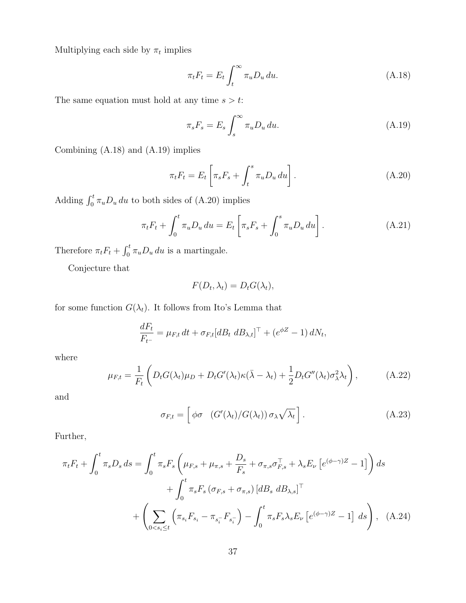Multiplying each side by  $\pi_t$  implies

$$
\pi_t F_t = E_t \int_t^\infty \pi_u D_u \, du. \tag{A.18}
$$

The same equation must hold at any time  $s > t$ :

$$
\pi_s F_s = E_s \int_s^\infty \pi_u D_u \, du. \tag{A.19}
$$

Combining (A.18) and (A.19) implies

$$
\pi_t F_t = E_t \left[ \pi_s F_s + \int_t^s \pi_u D_u \, du \right]. \tag{A.20}
$$

Adding  $\int_0^t \pi_u D_u du$  to both sides of (A.20) implies

$$
\pi_t F_t + \int_0^t \pi_u D_u \, du = E_t \left[ \pi_s F_s + \int_0^s \pi_u D_u \, du \right]. \tag{A.21}
$$

Therefore  $\pi_t F_t + \int_0^t \pi_u D_u du$  is a martingale.

Conjecture that

$$
F(D_t, \lambda_t) = D_t G(\lambda_t),
$$

for some function  $G(\lambda_t)$ . It follows from Ito's Lemma that

$$
\frac{dF_t}{F_{t-}} = \mu_{F,t} dt + \sigma_{F,t} [dB_t dB_{\lambda,t}]^\top + (e^{\phi Z} - 1) dN_t,
$$

where

$$
\mu_{F,t} = \frac{1}{F_t} \left( D_t G(\lambda_t) \mu_D + D_t G'(\lambda_t) \kappa (\bar{\lambda} - \lambda_t) + \frac{1}{2} D_t G''(\lambda_t) \sigma_\lambda^2 \lambda_t \right), \tag{A.22}
$$

and

$$
\sigma_{F,t} = \left[ \phi \sigma \left( G'(\lambda_t) / G(\lambda_t) \right) \sigma_\lambda \sqrt{\lambda_t} \right]. \tag{A.23}
$$

Further,

$$
\pi_{t}F_{t} + \int_{0}^{t} \pi_{s}D_{s} ds = \int_{0}^{t} \pi_{s}F_{s} \left(\mu_{F,s} + \mu_{\pi,s} + \frac{D_{s}}{F_{s}} + \sigma_{\pi,s}\sigma_{F,s}^{\top} + \lambda_{s}E_{\nu}\left[e^{(\phi-\gamma)Z} - 1\right]\right) ds \n+ \int_{0}^{t} \pi_{s}F_{s} \left(\sigma_{F,s} + \sigma_{\pi,s}\right) \left[dB_{s} \, dB_{\lambda,s}\right]^{\top} \n+ \left(\sum_{0 < s_{i} \leq t} \left(\pi_{s_{i}}F_{s_{i}} - \pi_{s_{i}}F_{s_{i}}\right) - \int_{0}^{t} \pi_{s}F_{s}\lambda_{s}E_{\nu}\left[e^{(\phi-\gamma)Z} - 1\right] ds\right), \quad (A.24)
$$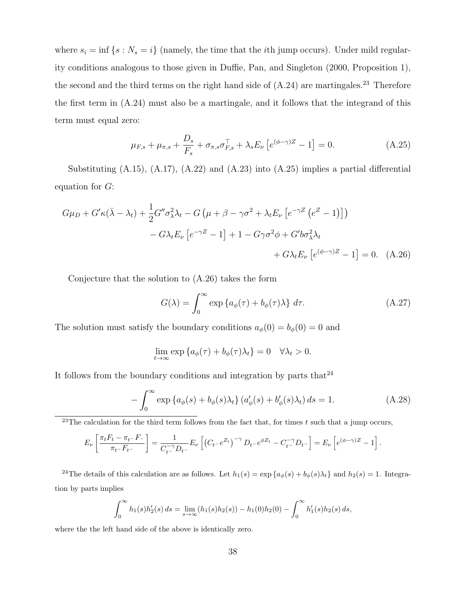where  $s_i = \inf \{s : N_s = i\}$  (namely, the time that the *i*th jump occurs). Under mild regularity conditions analogous to those given in Duffie, Pan, and Singleton (2000, Proposition 1), the second and the third terms on the right hand side of  $(A.24)$  are martingales.<sup>23</sup> Therefore the first term in (A.24) must also be a martingale, and it follows that the integrand of this term must equal zero:

$$
\mu_{F,s} + \mu_{\pi,s} + \frac{D_s}{F_s} + \sigma_{\pi,s} \sigma_{F,s}^{\top} + \lambda_s E_{\nu} \left[ e^{(\phi - \gamma)Z} - 1 \right] = 0.
$$
 (A.25)

Substituting (A.15), (A.17), (A.22) and (A.23) into (A.25) implies a partial differential equation for  $G$ :

$$
G\mu_D + G'\kappa(\bar{\lambda} - \lambda_t) + \frac{1}{2}G''\sigma_{\lambda}^2\lambda_t - G\left(\mu + \beta - \gamma\sigma^2 + \lambda_t E_{\nu} \left[e^{-\gamma Z} \left(e^{Z} - 1\right)\right]\right) - G\lambda_t E_{\nu} \left[e^{-\gamma Z} - 1\right] + 1 - G\gamma\sigma^2\phi + G'b\sigma_{\lambda}^2\lambda_t + G\lambda_t E_{\nu} \left[e^{(\phi - \gamma)Z} - 1\right] = 0. \quad (A.26)
$$

Conjecture that the solution to (A.26) takes the form

$$
G(\lambda) = \int_0^\infty \exp\left\{a_\phi(\tau) + b_\phi(\tau)\lambda\right\} d\tau.
$$
 (A.27)

The solution must satisfy the boundary conditions  $a_{\phi}(0) = b_{\phi}(0) = 0$  and

$$
\lim_{t \to \infty} \exp \left\{ a_{\phi}(\tau) + b_{\phi}(\tau) \lambda_t \right\} = 0 \quad \forall \lambda_t > 0.
$$

It follows from the boundary conditions and integration by parts that  $24\,$ 

$$
-\int_0^\infty \exp\left\{a_\phi(s) + b_\phi(s)\lambda_t\right\} \left(a'_\phi(s) + b'_\phi(s)\lambda_t\right) ds = 1.
$$
\n(A.28)

<sup>23</sup>The calculation for the third term follows from the fact that, for times t such that a jump occurs,

$$
E_{\nu} \left[ \frac{\pi_t F_t - \pi_{t^-} F_{-}}{\pi_{t^-} F_{t^-}} \right] = \frac{1}{C_{t^-}^{-\gamma} D_{t^-}} E_{\nu} \left[ \left( C_{t^-} e^{Z_t} \right)^{-\gamma} D_{t^-} e^{\phi Z_t} - C_{t^-}^{-\gamma} D_{t^-} \right] = E_{\nu} \left[ e^{(\phi - \gamma)Z} - 1 \right].
$$

<sup>24</sup>The details of this calculation are as follows. Let  $h_1(s) = \exp\{a_\phi(s) + b_\phi(s)\lambda_t\}$  and  $h_2(s) = 1$ . Integration by parts implies

$$
\int_0^\infty h_1(s)h_2'(s) ds = \lim_{s \to \infty} (h_1(s)h_2(s)) - h_1(0)h_2(0) - \int_0^\infty h_1'(s)h_2(s) ds,
$$

where the the left hand side of the above is identically zero.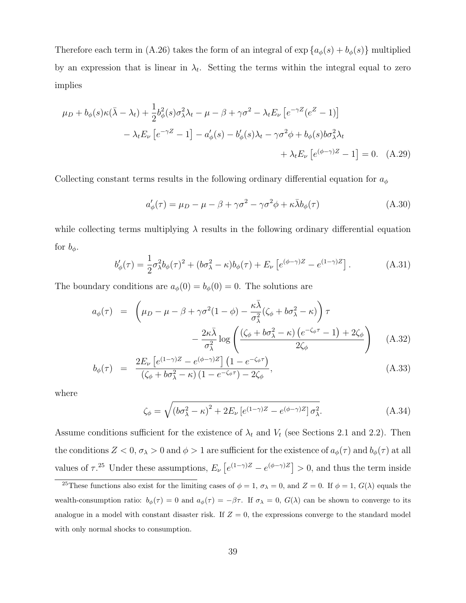Therefore each term in (A.26) takes the form of an integral of  $\exp\left\{a_{\phi}(s) + b_{\phi}(s)\right\}$  multiplied by an expression that is linear in  $\lambda_t$ . Setting the terms within the integral equal to zero implies

$$
\mu_D + b_{\phi}(s)\kappa(\bar{\lambda} - \lambda_t) + \frac{1}{2}b_{\phi}^2(s)\sigma_{\lambda}^2\lambda_t - \mu - \beta + \gamma\sigma^2 - \lambda_t E_{\nu} \left[e^{-\gamma Z}(e^Z - 1)\right]
$$

$$
- \lambda_t E_{\nu} \left[e^{-\gamma Z} - 1\right] - a_{\phi}'(s) - b_{\phi}'(s)\lambda_t - \gamma\sigma^2\phi + b_{\phi}(s)b\sigma_{\lambda}^2\lambda_t + \lambda_t E_{\nu} \left[e^{(\phi - \gamma)Z} - 1\right] = 0. \quad (A.29)
$$

Collecting constant terms results in the following ordinary differential equation for  $a_{\phi}$ 

$$
a'_{\phi}(\tau) = \mu_D - \mu - \beta + \gamma \sigma^2 - \gamma \sigma^2 \phi + \kappa \bar{\lambda} b_{\phi}(\tau)
$$
 (A.30)

while collecting terms multiplying  $\lambda$  results in the following ordinary differential equation for  $b_{\phi}$ .

$$
b'_{\phi}(\tau) = \frac{1}{2}\sigma_{\lambda}^{2}b_{\phi}(\tau)^{2} + (b\sigma_{\lambda}^{2} - \kappa)b_{\phi}(\tau) + E_{\nu}\left[e^{(\phi-\gamma)Z} - e^{(1-\gamma)Z}\right].
$$
 (A.31)

The boundary conditions are  $a_{\phi}(0) = b_{\phi}(0) = 0$ . The solutions are

$$
a_{\phi}(\tau) = \left(\mu_D - \mu - \beta + \gamma \sigma^2 (1 - \phi) - \frac{\kappa \bar{\lambda}}{\sigma_{\lambda}^2} (\zeta_{\phi} + b \sigma_{\lambda}^2 - \kappa) \right) \tau - \frac{2\kappa \bar{\lambda}}{\sigma_{\lambda}^2} \log \left( \frac{(\zeta_{\phi} + b \sigma_{\lambda}^2 - \kappa) (e^{-\zeta_{\phi}\tau} - 1) + 2\zeta_{\phi}}{2\zeta_{\phi}} \right) \quad (A.32)
$$

$$
b_{\phi}(\tau) = \frac{2E_{\nu}\left[e^{(1-\gamma)Z} - e^{(\phi-\gamma)Z}\right]\left(1 - e^{-\zeta_{\phi}\tau}\right)}{\left(\zeta_{\phi} + b\sigma_{\lambda}^{2} - \kappa\right)\left(1 - e^{-\zeta_{\phi}\tau}\right) - 2\zeta_{\phi}},\tag{A.33}
$$

where

$$
\zeta_{\phi} = \sqrt{\left(b\sigma_{\lambda}^{2} - \kappa\right)^{2} + 2E_{\nu}\left[e^{(1-\gamma)Z} - e^{(\phi-\gamma)Z}\right]\sigma_{\lambda}^{2}}.\tag{A.34}
$$

Assume conditions sufficient for the existence of  $\lambda_t$  and  $V_t$  (see Sections 2.1 and 2.2). Then the conditions  $Z < 0$ ,  $\sigma_{\lambda} > 0$  and  $\phi > 1$  are sufficient for the existence of  $a_{\phi}(\tau)$  and  $b_{\phi}(\tau)$  at all values of  $\tau$ <sup>25</sup> Under these assumptions,  $E_{\nu} [e^{(1-\gamma)Z} - e^{(\phi-\gamma)Z}] > 0$ , and thus the term inside

<sup>&</sup>lt;sup>25</sup>These functions also exist for the limiting cases of  $\phi = 1$ ,  $\sigma_{\lambda} = 0$ , and  $Z = 0$ . If  $\phi = 1$ ,  $G(\lambda)$  equals the wealth-consumption ratio:  $b_{\phi}(\tau) = 0$  and  $a_{\phi}(\tau) = -\beta \tau$ . If  $\sigma_{\lambda} = 0$ ,  $G(\lambda)$  can be shown to converge to its analogue in a model with constant disaster risk. If  $Z = 0$ , the expressions converge to the standard model with only normal shocks to consumption.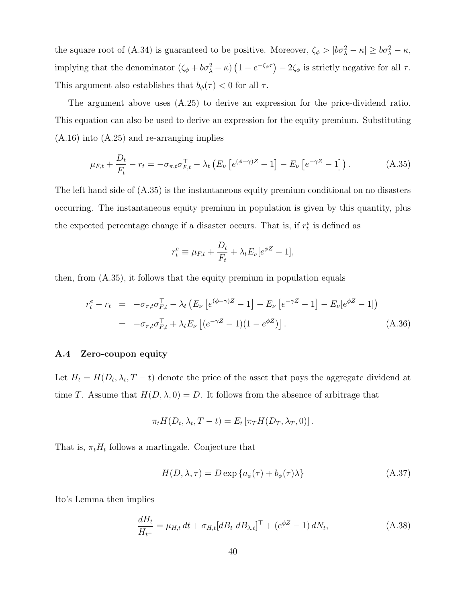the square root of (A.34) is guaranteed to be positive. Moreover,  $\zeta_{\phi} > |b\sigma_{\lambda}^2 - \kappa| \ge b\sigma_{\lambda}^2 - \kappa$ , implying that the denominator  $(\zeta_{\phi} + b\sigma_{\lambda}^{2} - \kappa) (1 - e^{-\zeta_{\phi}\tau}) - 2\zeta_{\phi}$  is strictly negative for all  $\tau$ . This argument also establishes that  $b_{\phi}(\tau) < 0$  for all  $\tau$ .

The argument above uses (A.25) to derive an expression for the price-dividend ratio. This equation can also be used to derive an expression for the equity premium. Substituting (A.16) into (A.25) and re-arranging implies

$$
\mu_{F,t} + \frac{D_t}{F_t} - r_t = -\sigma_{\pi,t}\sigma_{F,t}^{\top} - \lambda_t \left( E_{\nu} \left[ e^{(\phi - \gamma)Z} - 1 \right] - E_{\nu} \left[ e^{-\gamma Z} - 1 \right] \right). \tag{A.35}
$$

The left hand side of (A.35) is the instantaneous equity premium conditional on no disasters occurring. The instantaneous equity premium in population is given by this quantity, plus the expected percentage change if a disaster occurs. That is, if  $r_t^e$  is defined as

$$
r_t^e \equiv \mu_{F,t} + \frac{D_t}{F_t} + \lambda_t E_\nu [e^{\phi Z} - 1],
$$

then, from (A.35), it follows that the equity premium in population equals

$$
r_t^e - r_t = -\sigma_{\pi, t}\sigma_{F, t}^- - \lambda_t \left( E_\nu \left[ e^{(\phi - \gamma)Z} - 1 \right] - E_\nu \left[ e^{-\gamma Z} - 1 \right] - E_\nu [e^{\phi Z} - 1] \right)
$$
  
=  $-\sigma_{\pi, t}\sigma_{F, t}^- + \lambda_t E_\nu \left[ (e^{-\gamma Z} - 1)(1 - e^{\phi Z}) \right].$  (A.36)

#### A.4 Zero-coupon equity

Let  $H_t = H(D_t, \lambda_t, T - t)$  denote the price of the asset that pays the aggregate dividend at time T. Assume that  $H(D, \lambda, 0) = D$ . It follows from the absence of arbitrage that

$$
\pi_t H(D_t, \lambda_t, T - t) = E_t [\pi_T H(D_T, \lambda_T, 0)].
$$

That is,  $\pi_t H_t$  follows a martingale. Conjecture that

$$
H(D, \lambda, \tau) = D \exp \{ a_{\phi}(\tau) + b_{\phi}(\tau) \lambda \}
$$
\n(A.37)

Ito's Lemma then implies

$$
\frac{dH_t}{H_{t-}} = \mu_{H,t} dt + \sigma_{H,t} [dB_t dB_{\lambda,t}]^\top + (e^{\phi Z} - 1) dN_t,
$$
\n(A.38)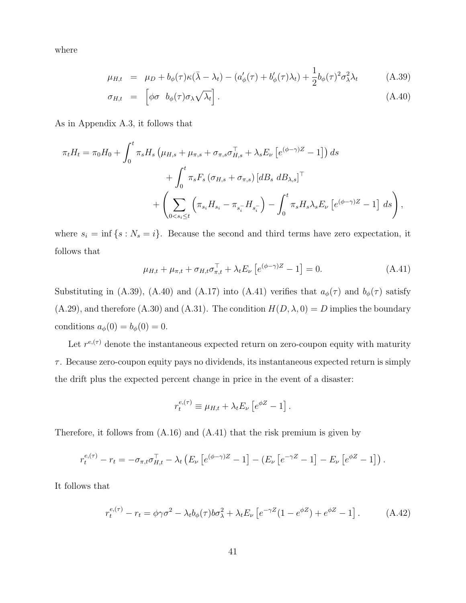where

$$
\mu_{H,t} = \mu_D + b_{\phi}(\tau)\kappa(\bar{\lambda} - \lambda_t) - (a'_{\phi}(\tau) + b'_{\phi}(\tau)\lambda_t) + \frac{1}{2}b_{\phi}(\tau)^2\sigma_{\lambda}^2\lambda_t \tag{A.39}
$$

$$
\sigma_{H,t} = \left[ \phi \sigma \ b_{\phi}(\tau) \sigma_{\lambda} \sqrt{\lambda_t} \right]. \tag{A.40}
$$

As in Appendix A.3, it follows that

$$
\pi_t H_t = \pi_0 H_0 + \int_0^t \pi_s H_s \left( \mu_{H,s} + \mu_{\pi,s} + \sigma_{\pi,s} \sigma_{H,s}^\top + \lambda_s E_\nu \left[ e^{(\phi - \gamma)Z} - 1 \right] \right) ds + \int_0^t \pi_s F_s \left( \sigma_{H,s} + \sigma_{\pi,s} \right) \left[ d_s \, d_s \right]^\top + \left( \sum_{0 < s_i \le t} \left( \pi_{s_i} H_{s_i} - \pi_{s_i^-} H_{s_i^-} \right) - \int_0^t \pi_s H_s \lambda_s E_\nu \left[ e^{(\phi - \gamma)Z} - 1 \right] ds \right),
$$

where  $s_i = \inf \{ s : N_s = i \}.$  Because the second and third terms have zero expectation, it follows that

$$
\mu_{H,t} + \mu_{\pi,t} + \sigma_{H,t}\sigma_{\pi,t}^{\top} + \lambda_t E_{\nu} \left[ e^{(\phi - \gamma)Z} - 1 \right] = 0.
$$
 (A.41)

Substituting in (A.39), (A.40) and (A.17) into (A.41) verifies that  $a_{\phi}(\tau)$  and  $b_{\phi}(\tau)$  satisfy (A.29), and therefore (A.30) and (A.31). The condition  $H(D, \lambda, 0) = D$  implies the boundary conditions  $a_{\phi}(0) = b_{\phi}(0) = 0$ .

Let  $r^{e,(\tau)}$  denote the instantaneous expected return on zero-coupon equity with maturity  $\tau$ . Because zero-coupon equity pays no dividends, its instantaneous expected return is simply the drift plus the expected percent change in price in the event of a disaster:

$$
r_t^{e,(\tau)} \equiv \mu_{H,t} + \lambda_t E_\nu \left[ e^{\phi Z} - 1 \right].
$$

Therefore, it follows from (A.16) and (A.41) that the risk premium is given by

$$
r_t^{e,(\tau)} - r_t = -\sigma_{\pi,t}\sigma_{H,t}^{\top} - \lambda_t \left( E_{\nu} \left[ e^{(\phi - \gamma)Z} - 1 \right] - \left( E_{\nu} \left[ e^{-\gamma Z} - 1 \right] - E_{\nu} \left[ e^{\phi Z} - 1 \right] \right) .
$$

It follows that

$$
r_t^{e,(\tau)} - r_t = \phi \gamma \sigma^2 - \lambda_t b_\phi(\tau) b \sigma_\lambda^2 + \lambda_t E_\nu \left[ e^{-\gamma Z} (1 - e^{\phi Z}) + e^{\phi Z} - 1 \right]. \tag{A.42}
$$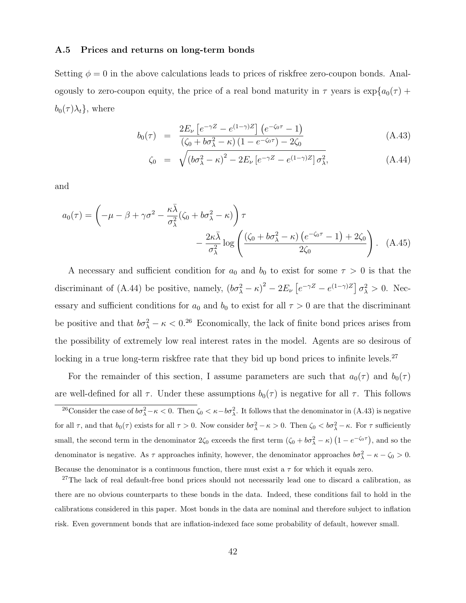#### A.5 Prices and returns on long-term bonds

Setting  $\phi = 0$  in the above calculations leads to prices of riskfree zero-coupon bonds. Analogously to zero-coupon equity, the price of a real bond maturity in  $\tau$  years is  $\exp\{a_0(\tau) +$  $b_0(\tau) \lambda_t$ , where

$$
b_0(\tau) = \frac{2E_\nu \left[ e^{-\gamma Z} - e^{(1-\gamma)Z} \right] \left( e^{-\zeta_0 \tau} - 1 \right)}{\left( \zeta_0 + b\sigma_\lambda^2 - \kappa \right) \left( 1 - e^{-\zeta_0 \tau} \right) - 2\zeta_0}
$$
\n(A.43)

$$
\zeta_0 = \sqrt{\left(b\sigma_\lambda^2 - \kappa\right)^2 - 2E_\nu\left[e^{-\gamma Z} - e^{(1-\gamma)Z}\right]\sigma_\lambda^2},\tag{A.44}
$$

and

$$
a_0(\tau) = \left(-\mu - \beta + \gamma \sigma^2 - \frac{\kappa \bar{\lambda}}{\sigma_{\lambda}^2} (\zeta_0 + b\sigma_{\lambda}^2 - \kappa) \right) \tau
$$

$$
- \frac{2\kappa \bar{\lambda}}{\sigma_{\lambda}^2} \log \left( \frac{(\zeta_0 + b\sigma_{\lambda}^2 - \kappa) (e^{-\zeta_0 \tau} - 1) + 2\zeta_0}{2\zeta_0} \right). \quad (A.45)
$$

A necessary and sufficient condition for  $a_0$  and  $b_0$  to exist for some  $\tau > 0$  is that the discriminant of (A.44) be positive, namely,  $(b\sigma_{\lambda}^2 - \kappa)^2 - 2E_{\nu} [e^{-\gamma Z} - e^{(1-\gamma)Z}] \sigma_{\lambda}^2 > 0$ . Necessary and sufficient conditions for  $a_0$  and  $b_0$  to exist for all  $\tau > 0$  are that the discriminant be positive and that  $b\sigma_{\lambda}^2 - \kappa < 0^{26}$  Economically, the lack of finite bond prices arises from the possibility of extremely low real interest rates in the model. Agents are so desirous of locking in a true long-term risk<br>free rate that they bid up bond prices to infinite levels.<br> $\real^{27}$ 

For the remainder of this section, I assume parameters are such that  $a_0(\tau)$  and  $b_0(\tau)$ are well-defined for all  $\tau$ . Under these assumptions  $b_0(\tau)$  is negative for all  $\tau$ . This follows <sup>26</sup>Consider the case of  $b\sigma_\lambda^2 - \kappa < 0$ . Then  $\zeta_0 < \kappa - b\sigma_\lambda^2$ . It follows that the denominator in (A.43) is negative for all  $\tau$ , and that  $b_0(\tau)$  exists for all  $\tau > 0$ . Now consider  $b\sigma_\lambda^2 - \kappa > 0$ . Then  $\zeta_0 < b\sigma_\lambda^2 - \kappa$ . For  $\tau$  sufficiently small, the second term in the denominator  $2\zeta_0$  exceeds the first term  $(\zeta_0 + b\sigma_\lambda^2 - \kappa)(1 - e^{-\zeta_0 \tau})$ , and so the denominator is negative. As  $\tau$  approaches infinity, however, the denominator approaches  $b\sigma_{\lambda}^2 - \kappa - \zeta_0 > 0$ . Because the denominator is a continuous function, there must exist a  $\tau$  for which it equals zero.

<sup>27</sup>The lack of real default-free bond prices should not necessarily lead one to discard a calibration, as there are no obvious counterparts to these bonds in the data. Indeed, these conditions fail to hold in the calibrations considered in this paper. Most bonds in the data are nominal and therefore subject to inflation risk. Even government bonds that are inflation-indexed face some probability of default, however small.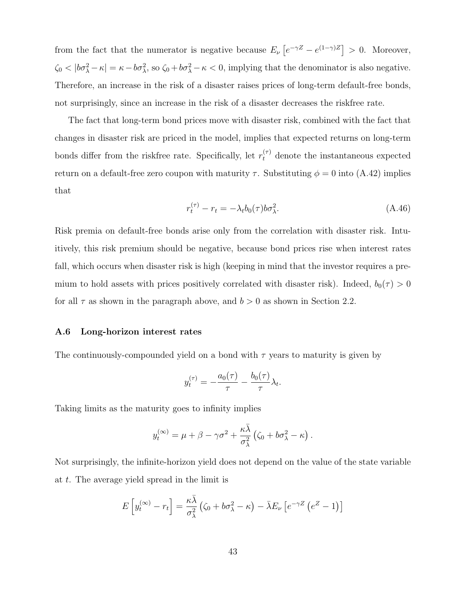from the fact that the numerator is negative because  $E_{\nu} \left[ e^{-\gamma Z} - e^{(1-\gamma)Z} \right] > 0$ . Moreover,  $\zeta_0 < |b\sigma_\lambda^2 - \kappa| = \kappa - b\sigma_\lambda^2$ , so  $\zeta_0 + b\sigma_\lambda^2 - \kappa < 0$ , implying that the denominator is also negative. Therefore, an increase in the risk of a disaster raises prices of long-term default-free bonds, not surprisingly, since an increase in the risk of a disaster decreases the riskfree rate.

The fact that long-term bond prices move with disaster risk, combined with the fact that changes in disaster risk are priced in the model, implies that expected returns on long-term bonds differ from the riskfree rate. Specifically, let  $r_t^{(\tau)}$  denote the instantaneous expected return on a default-free zero coupon with maturity  $\tau$ . Substituting  $\phi = 0$  into (A.42) implies that

$$
r_t^{(\tau)} - r_t = -\lambda_t b_0(\tau) b \sigma_\lambda^2. \tag{A.46}
$$

Risk premia on default-free bonds arise only from the correlation with disaster risk. Intuitively, this risk premium should be negative, because bond prices rise when interest rates fall, which occurs when disaster risk is high (keeping in mind that the investor requires a premium to hold assets with prices positively correlated with disaster risk). Indeed,  $b_0(\tau) > 0$ for all  $\tau$  as shown in the paragraph above, and  $b > 0$  as shown in Section 2.2.

#### A.6 Long-horizon interest rates

The continuously-compounded yield on a bond with  $\tau$  years to maturity is given by

$$
y_t^{(\tau)} = -\frac{a_0(\tau)}{\tau} - \frac{b_0(\tau)}{\tau} \lambda_t.
$$

Taking limits as the maturity goes to infinity implies

$$
y_t^{(\infty)} = \mu + \beta - \gamma \sigma^2 + \frac{\kappa \bar{\lambda}}{\sigma_{\lambda}^2} (\zeta_0 + b \sigma_{\lambda}^2 - \kappa).
$$

Not surprisingly, the infinite-horizon yield does not depend on the value of the state variable at t. The average yield spread in the limit is

$$
E\left[y_t^{(\infty)} - r_t\right] = \frac{\kappa \bar{\lambda}}{\sigma_{\lambda}^2} \left(\zeta_0 + b\sigma_{\lambda}^2 - \kappa\right) - \bar{\lambda} E_{\nu} \left[e^{-\gamma Z} \left(e^Z - 1\right)\right]
$$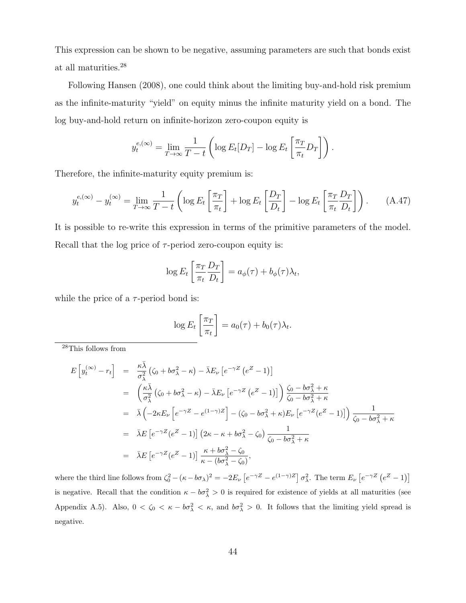This expression can be shown to be negative, assuming parameters are such that bonds exist at all maturities.<sup>28</sup>

Following Hansen (2008), one could think about the limiting buy-and-hold risk premium as the infinite-maturity "yield" on equity minus the infinite maturity yield on a bond. The log buy-and-hold return on infinite-horizon zero-coupon equity is

$$
y_t^{e, (\infty)} = \lim_{T \to \infty} \frac{1}{T - t} \left( \log E_t[D_T] - \log E_t\left[ \frac{\pi_T}{\pi_t} D_T \right] \right).
$$

Therefore, the infinite-maturity equity premium is:

$$
y_t^{e, (\infty)} - y_t^{(\infty)} = \lim_{T \to \infty} \frac{1}{T - t} \left( \log E_t \left[ \frac{\pi_T}{\pi_t} \right] + \log E_t \left[ \frac{D_T}{D_t} \right] - \log E_t \left[ \frac{\pi_T}{\pi_t} \frac{D_T}{D_t} \right] \right). \tag{A.47}
$$

It is possible to re-write this expression in terms of the primitive parameters of the model. Recall that the log price of  $\tau$ -period zero-coupon equity is:

$$
\log E_t \left[ \frac{\pi_T}{\pi_t} \frac{D_T}{D_t} \right] = a_{\phi}(\tau) + b_{\phi}(\tau) \lambda_t,
$$

while the price of a  $\tau$ -period bond is:

$$
\log E_t \left[ \frac{\pi_T}{\pi_t} \right] = a_0(\tau) + b_0(\tau) \lambda_t.
$$

<sup>28</sup>This follows from

$$
E\left[y_t^{(\infty)} - r_t\right] = \frac{\kappa \bar{\lambda}}{\sigma_{\lambda}^2} \left(\zeta_0 + b\sigma_{\lambda}^2 - \kappa\right) - \bar{\lambda} E_{\nu} \left[e^{-\gamma Z} \left(e^Z - 1\right)\right]
$$
  
\n
$$
= \left(\frac{\kappa \bar{\lambda}}{\sigma_{\lambda}^2} \left(\zeta_0 + b\sigma_{\lambda}^2 - \kappa\right) - \bar{\lambda} E_{\nu} \left[e^{-\gamma Z} \left(e^Z - 1\right)\right]\right) \frac{\zeta_0 - b\sigma_{\lambda}^2 + \kappa}{\zeta_0 - b\sigma_{\lambda}^2 + \kappa}
$$
  
\n
$$
= \bar{\lambda} \left(-2\kappa E_{\nu} \left[e^{-\gamma Z} - e^{(1-\gamma)Z}\right] - \left(\zeta_0 - b\sigma_{\lambda}^2 + \kappa\right) E_{\nu} \left[e^{-\gamma Z} \left(e^Z - 1\right)\right]\right) \frac{1}{\zeta_0 - b\sigma_{\lambda}^2 + \kappa}
$$
  
\n
$$
= \bar{\lambda} E\left[e^{-\gamma Z} \left(e^Z - 1\right)\right] \left(2\kappa - \kappa + b\sigma_{\lambda}^2 - \zeta_0\right) \frac{1}{\zeta_0 - b\sigma_{\lambda}^2 + \kappa}
$$
  
\n
$$
= \bar{\lambda} E\left[e^{-\gamma Z} \left(e^Z - 1\right)\right] \frac{\kappa + b\sigma_{\lambda}^2 - \zeta_0}{\kappa - (b\sigma_{\lambda}^2 - \zeta_0)},
$$

where the third line follows from  $\zeta_0^2 - (\kappa - b\sigma_\lambda)^2 = -2E_\nu \left[ e^{-\gamma Z} - e^{(1-\gamma)Z} \right] \sigma_\lambda^2$ . The term  $E_\nu \left[ e^{-\gamma Z} \left( e^{Z} - 1 \right) \right]$ is negative. Recall that the condition  $\kappa - b\sigma_\lambda^2 > 0$  is required for existence of yields at all maturities (see Appendix A.5). Also,  $0 < \zeta_0 < \kappa - b\sigma_\lambda^2 < \kappa$ , and  $b\sigma_\lambda^2 > 0$ . It follows that the limiting yield spread is negative.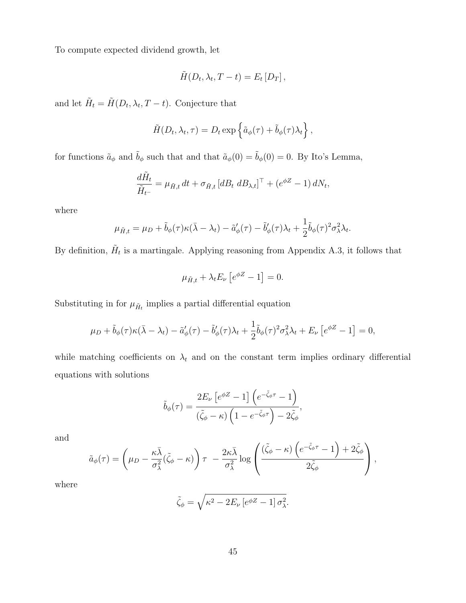To compute expected dividend growth, let

$$
\tilde{H}(D_t, \lambda_t, T-t) = E_t[D_T],
$$

and let  $\tilde{H}_t = \tilde{H}(D_t, \lambda_t, T - t)$ . Conjecture that

$$
\tilde{H}(D_t, \lambda_t, \tau) = D_t \exp \left\{ \tilde{a}_{\phi}(\tau) + \tilde{b}_{\phi}(\tau) \lambda_t \right\},\
$$

for functions  $\tilde{a}_{\phi}$  and  $\tilde{b}_{\phi}$  such that and that  $\tilde{a}_{\phi}(0) = \tilde{b}_{\phi}(0) = 0$ . By Ito's Lemma,

$$
\frac{d\tilde{H}_t}{\tilde{H}_{t^-}} = \mu_{\tilde{H},t} dt + \sigma_{\tilde{H},t} \left[ dB_t \ dB_{\lambda,t} \right]^\top + \left( e^{\phi Z} - 1 \right) dN_t,
$$

where

$$
\mu_{\tilde{H},t} = \mu_D + \tilde{b}_{\phi}(\tau)\kappa(\bar{\lambda} - \lambda_t) - \tilde{a}'_{\phi}(\tau) - \tilde{b}'_{\phi}(\tau)\lambda_t + \frac{1}{2}\tilde{b}_{\phi}(\tau)^2\sigma_{\lambda}^2\lambda_t.
$$

By definition,  $\tilde{H}_t$  is a martingale. Applying reasoning from Appendix A.3, it follows that

$$
\mu_{\tilde{H},t} + \lambda_t E_\nu \left[ e^{\phi Z} - 1 \right] = 0.
$$

Substituting in for  $\mu_{\tilde{H}_t}$  implies a partial differential equation

$$
\mu_D + \tilde{b}_{\phi}(\tau)\kappa(\bar{\lambda} - \lambda_t) - \tilde{a}'_{\phi}(\tau) - \tilde{b}'_{\phi}(\tau)\lambda_t + \frac{1}{2}\tilde{b}_{\phi}(\tau)^2\sigma_{\lambda}^2\lambda_t + E_{\nu}\left[e^{\phi Z} - 1\right] = 0,
$$

while matching coefficients on  $\lambda_t$  and on the constant term implies ordinary differential equations with solutions

$$
\tilde{b}_{\phi}(\tau) = \frac{2E_{\nu} \left[e^{\phi Z} - 1\right] \left(e^{-\tilde{\zeta}_{\phi}\tau} - 1\right)}{(\tilde{\zeta}_{\phi} - \kappa) \left(1 - e^{-\tilde{\zeta}_{\phi}\tau}\right) - 2\tilde{\zeta}_{\phi}},
$$

and

$$
\tilde{a}_{\phi}(\tau) = \left(\mu_D - \frac{\kappa \bar{\lambda}}{\sigma_{\lambda}^2} (\tilde{\zeta}_{\phi} - \kappa)\right) \tau - \frac{2\kappa \bar{\lambda}}{\sigma_{\lambda}^2} \log \left(\frac{(\tilde{\zeta}_{\phi} - \kappa) \left(e^{-\tilde{\zeta}_{\phi} \tau} - 1\right) + 2\tilde{\zeta}_{\phi}}{2\tilde{\zeta}_{\phi}}\right),
$$

where

$$
\tilde{\zeta}_{\phi} = \sqrt{\kappa^2 - 2E_{\nu} \left[e^{\phi Z} - 1\right] \sigma_{\lambda}^2}.
$$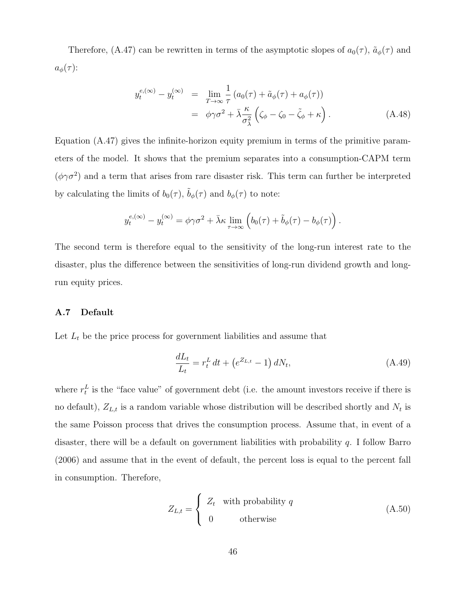Therefore, (A.47) can be rewritten in terms of the asymptotic slopes of  $a_0(\tau)$ ,  $\tilde{a}_{\phi}(\tau)$  and  $a_{\phi}(\tau)$ :

$$
y_t^{e,(\infty)} - y_t^{(\infty)} = \lim_{T \to \infty} \frac{1}{\tau} (a_0(\tau) + \tilde{a}_{\phi}(\tau) + a_{\phi}(\tau))
$$
  
=  $\phi \gamma \sigma^2 + \bar{\lambda} \frac{\kappa}{\sigma_{\lambda}^2} (\zeta_{\phi} - \zeta_0 - \tilde{\zeta}_{\phi} + \kappa).$  (A.48)

Equation (A.47) gives the infinite-horizon equity premium in terms of the primitive parameters of the model. It shows that the premium separates into a consumption-CAPM term  $(\phi \gamma \sigma^2)$  and a term that arises from rare disaster risk. This term can further be interpreted by calculating the limits of  $b_0(\tau)$ ,  $\tilde{b}_{\phi}(\tau)$  and  $b_{\phi}(\tau)$  to note:

$$
y_t^{e,(\infty)} - y_t^{(\infty)} = \phi \gamma \sigma^2 + \bar{\lambda} \kappa \lim_{\tau \to \infty} \left( b_0(\tau) + \tilde{b}_{\phi}(\tau) - b_{\phi}(\tau) \right).
$$

The second term is therefore equal to the sensitivity of the long-run interest rate to the disaster, plus the difference between the sensitivities of long-run dividend growth and longrun equity prices.

#### A.7 Default

Let  $L_t$  be the price process for government liabilities and assume that

$$
\frac{dL_t}{L_t} = r_t^L dt + \left(e^{Z_{L,t}} - 1\right) dN_t, \tag{A.49}
$$

where  $r_t^L$  is the "face value" of government debt (i.e. the amount investors receive if there is no default),  $Z_{L,t}$  is a random variable whose distribution will be described shortly and  $N_t$  is the same Poisson process that drives the consumption process. Assume that, in event of a disaster, there will be a default on government liabilities with probability q. I follow Barro (2006) and assume that in the event of default, the percent loss is equal to the percent fall in consumption. Therefore,

$$
Z_{L,t} = \begin{cases} Z_t & \text{with probability } q \\ 0 & \text{otherwise} \end{cases}
$$
 (A.50)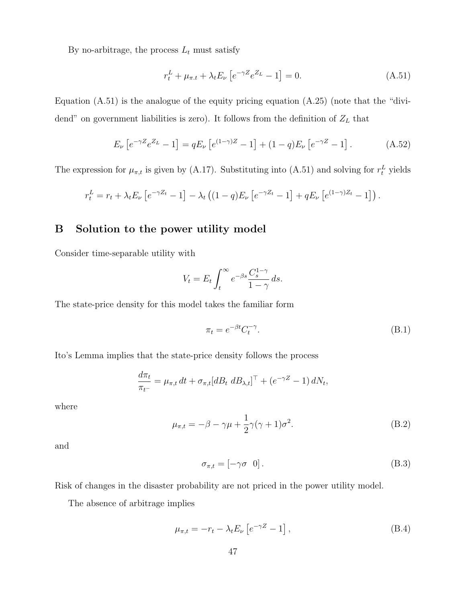By no-arbitrage, the process  $L_t$  must satisfy

$$
r_t^L + \mu_{\pi, t} + \lambda_t E_\nu \left[ e^{-\gamma Z} e^{Z_L} - 1 \right] = 0. \tag{A.51}
$$

Equation (A.51) is the analogue of the equity pricing equation (A.25) (note that the "dividend" on government liabilities is zero). It follows from the definition of  $Z_L$  that

$$
E_{\nu}\left[e^{-\gamma Z}e^{Z_{L}}-1\right]=qE_{\nu}\left[e^{(1-\gamma)Z}-1\right]+(1-q)E_{\nu}\left[e^{-\gamma Z}-1\right].
$$
 (A.52)

The expression for  $\mu_{\pi,t}$  is given by (A.17). Substituting into (A.51) and solving for  $r_t^L$  yields

$$
r_t^L = r_t + \lambda_t E_\nu \left[ e^{-\gamma Z_t} - 1 \right] - \lambda_t \left( (1 - q) E_\nu \left[ e^{-\gamma Z_t} - 1 \right] + q E_\nu \left[ e^{(1 - \gamma) Z_t} - 1 \right] \right).
$$

#### B Solution to the power utility model

Consider time-separable utility with

$$
V_t = E_t \int_t^{\infty} e^{-\beta s} \frac{C_s^{1-\gamma}}{1-\gamma} ds.
$$

The state-price density for this model takes the familiar form

$$
\pi_t = e^{-\beta t} C_t^{-\gamma}.
$$
\n(B.1)

Ito's Lemma implies that the state-price density follows the process

$$
\frac{d\pi_t}{\pi_{t-}} = \mu_{\pi,t} dt + \sigma_{\pi,t} [dB_t dB_{\lambda,t}]^\top + (e^{-\gamma Z} - 1) dN_t,
$$

where

$$
\mu_{\pi,t} = -\beta - \gamma \mu + \frac{1}{2} \gamma (\gamma + 1) \sigma^2.
$$
 (B.2)

and

$$
\sigma_{\pi,t} = \begin{bmatrix} -\gamma \sigma & 0 \end{bmatrix} . \tag{B.3}
$$

Risk of changes in the disaster probability are not priced in the power utility model.

The absence of arbitrage implies

$$
\mu_{\pi,t} = -r_t - \lambda_t E_\nu \left[ e^{-\gamma Z} - 1 \right],\tag{B.4}
$$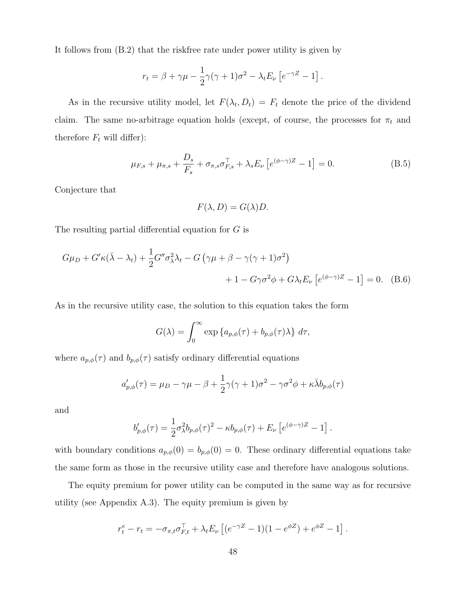It follows from (B.2) that the riskfree rate under power utility is given by

$$
r_t = \beta + \gamma \mu - \frac{1}{2} \gamma (\gamma + 1) \sigma^2 - \lambda_t E_\nu \left[ e^{-\gamma Z} - 1 \right].
$$

As in the recursive utility model, let  $F(\lambda_t, D_t) = F_t$  denote the price of the dividend claim. The same no-arbitrage equation holds (except, of course, the processes for  $\pi_t$  and therefore  $F_t$  will differ):

$$
\mu_{F,s} + \mu_{\pi,s} + \frac{D_s}{F_s} + \sigma_{\pi,s} \sigma_{F,s}^{\top} + \lambda_s E_{\nu} \left[ e^{(\phi - \gamma)Z} - 1 \right] = 0.
$$
 (B.5)

Conjecture that

$$
F(\lambda, D) = G(\lambda)D.
$$

The resulting partial differential equation for G is

$$
G\mu_D + G'\kappa(\bar{\lambda} - \lambda_t) + \frac{1}{2}G''\sigma_\lambda^2 \lambda_t - G\left(\gamma\mu + \beta - \gamma(\gamma + 1)\sigma^2\right) + 1 - G\gamma\sigma^2 \phi + G\lambda_t E_\nu \left[e^{(\phi - \gamma)Z} - 1\right] = 0. \quad (B.6)
$$

As in the recursive utility case, the solution to this equation takes the form

$$
G(\lambda) = \int_0^\infty \exp\left\{ a_{p,\phi}(\tau) + b_{p,\phi}(\tau)\lambda \right\} d\tau,
$$

where  $a_{p,\phi}(\tau)$  and  $b_{p,\phi}(\tau)$  satisfy ordinary differential equations

$$
a'_{p,\phi}(\tau) = \mu_D - \gamma \mu - \beta + \frac{1}{2}\gamma(\gamma + 1)\sigma^2 - \gamma \sigma^2 \phi + \kappa \bar{\lambda} b_{p,\phi}(\tau)
$$

and

$$
b'_{p,\phi}(\tau) = \frac{1}{2}\sigma_{\lambda}^2 b_{p,\phi}(\tau)^2 - \kappa b_{p,\phi}(\tau) + E_{\nu} \left[ e^{(\phi - \gamma)Z} - 1 \right].
$$

with boundary conditions  $a_{p,\phi}(0) = b_{p,\phi}(0) = 0$ . These ordinary differential equations take the same form as those in the recursive utility case and therefore have analogous solutions.

The equity premium for power utility can be computed in the same way as for recursive utility (see Appendix A.3). The equity premium is given by

$$
r_t^e - r_t = -\sigma_{\pi,t}\sigma_{F,t}^{\top} + \lambda_t E_\nu \left[ (e^{-\gamma Z} - 1)(1 - e^{\phi Z}) + e^{\phi Z} - 1 \right].
$$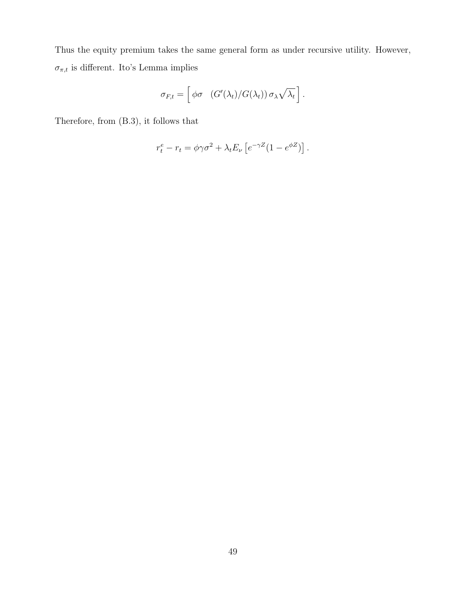Thus the equity premium takes the same general form as under recursive utility. However,  $\sigma_{\pi,t}$  is different. Ito's Lemma implies

$$
\sigma_{F,t} = \left[ \phi \sigma \left( G'(\lambda_t) / G(\lambda_t) \right) \sigma_\lambda \sqrt{\lambda_t} \right].
$$

Therefore, from (B.3), it follows that

$$
r_t^e - r_t = \phi \gamma \sigma^2 + \lambda_t E_\nu \left[ e^{-\gamma Z} (1 - e^{\phi Z}) \right].
$$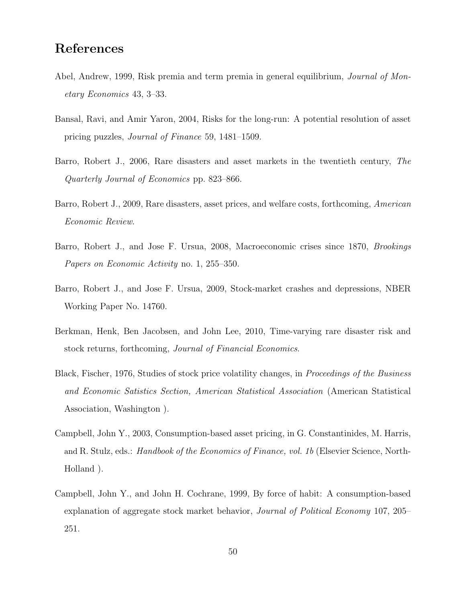## References

- Abel, Andrew, 1999, Risk premia and term premia in general equilibrium, Journal of Monetary Economics 43, 3–33.
- Bansal, Ravi, and Amir Yaron, 2004, Risks for the long-run: A potential resolution of asset pricing puzzles, Journal of Finance 59, 1481–1509.
- Barro, Robert J., 2006, Rare disasters and asset markets in the twentieth century, The Quarterly Journal of Economics pp. 823–866.
- Barro, Robert J., 2009, Rare disasters, asset prices, and welfare costs, forthcoming, American Economic Review.
- Barro, Robert J., and Jose F. Ursua, 2008, Macroeconomic crises since 1870, Brookings Papers on Economic Activity no. 1, 255–350.
- Barro, Robert J., and Jose F. Ursua, 2009, Stock-market crashes and depressions, NBER Working Paper No. 14760.
- Berkman, Henk, Ben Jacobsen, and John Lee, 2010, Time-varying rare disaster risk and stock returns, forthcoming, Journal of Financial Economics.
- Black, Fischer, 1976, Studies of stock price volatility changes, in Proceedings of the Business and Economic Satistics Section, American Statistical Association (American Statistical Association, Washington ).
- Campbell, John Y., 2003, Consumption-based asset pricing, in G. Constantinides, M. Harris, and R. Stulz, eds.: *Handbook of the Economics of Finance, vol. 1b* (Elsevier Science, North-Holland ).
- Campbell, John Y., and John H. Cochrane, 1999, By force of habit: A consumption-based explanation of aggregate stock market behavior, Journal of Political Economy 107, 205– 251.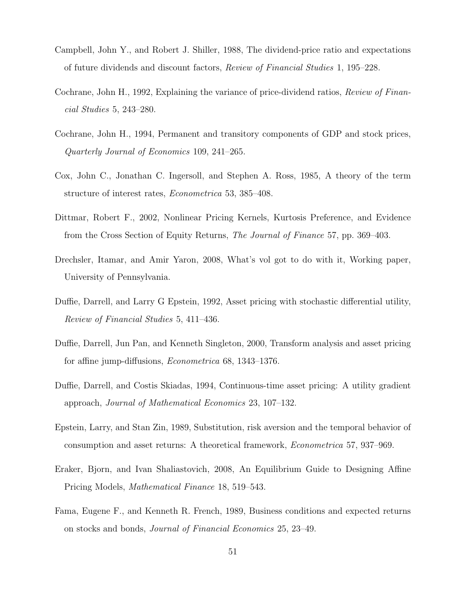- Campbell, John Y., and Robert J. Shiller, 1988, The dividend-price ratio and expectations of future dividends and discount factors, Review of Financial Studies 1, 195–228.
- Cochrane, John H., 1992, Explaining the variance of price-dividend ratios, Review of Financial Studies 5, 243–280.
- Cochrane, John H., 1994, Permanent and transitory components of GDP and stock prices, Quarterly Journal of Economics 109, 241–265.
- Cox, John C., Jonathan C. Ingersoll, and Stephen A. Ross, 1985, A theory of the term structure of interest rates, Econometrica 53, 385–408.
- Dittmar, Robert F., 2002, Nonlinear Pricing Kernels, Kurtosis Preference, and Evidence from the Cross Section of Equity Returns, The Journal of Finance 57, pp. 369–403.
- Drechsler, Itamar, and Amir Yaron, 2008, What's vol got to do with it, Working paper, University of Pennsylvania.
- Duffie, Darrell, and Larry G Epstein, 1992, Asset pricing with stochastic differential utility, Review of Financial Studies 5, 411–436.
- Duffie, Darrell, Jun Pan, and Kenneth Singleton, 2000, Transform analysis and asset pricing for affine jump-diffusions, Econometrica 68, 1343–1376.
- Duffie, Darrell, and Costis Skiadas, 1994, Continuous-time asset pricing: A utility gradient approach, Journal of Mathematical Economics 23, 107–132.
- Epstein, Larry, and Stan Zin, 1989, Substitution, risk aversion and the temporal behavior of consumption and asset returns: A theoretical framework, Econometrica 57, 937–969.
- Eraker, Bjorn, and Ivan Shaliastovich, 2008, An Equilibrium Guide to Designing Affine Pricing Models, Mathematical Finance 18, 519–543.
- Fama, Eugene F., and Kenneth R. French, 1989, Business conditions and expected returns on stocks and bonds, Journal of Financial Economics 25, 23–49.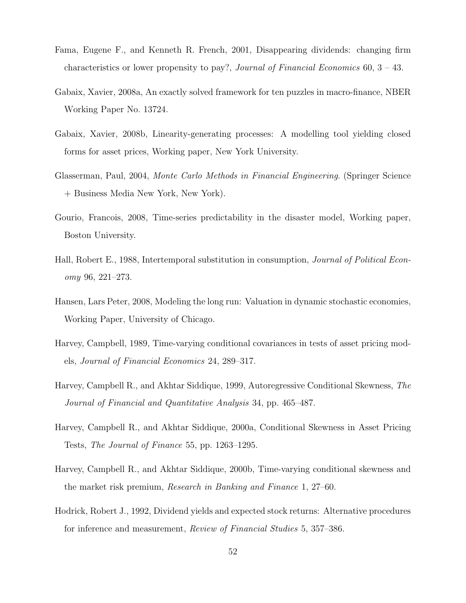- Fama, Eugene F., and Kenneth R. French, 2001, Disappearing dividends: changing firm characteristics or lower propensity to pay?, Journal of Financial Economics 60, 3 – 43.
- Gabaix, Xavier, 2008a, An exactly solved framework for ten puzzles in macro-finance, NBER Working Paper No. 13724.
- Gabaix, Xavier, 2008b, Linearity-generating processes: A modelling tool yielding closed forms for asset prices, Working paper, New York University.
- Glasserman, Paul, 2004, Monte Carlo Methods in Financial Engineering. (Springer Science + Business Media New York, New York).
- Gourio, Francois, 2008, Time-series predictability in the disaster model, Working paper, Boston University.
- Hall, Robert E., 1988, Intertemporal substitution in consumption, Journal of Political Economy 96, 221–273.
- Hansen, Lars Peter, 2008, Modeling the long run: Valuation in dynamic stochastic economies, Working Paper, University of Chicago.
- Harvey, Campbell, 1989, Time-varying conditional covariances in tests of asset pricing models, Journal of Financial Economics 24, 289–317.
- Harvey, Campbell R., and Akhtar Siddique, 1999, Autoregressive Conditional Skewness, The Journal of Financial and Quantitative Analysis 34, pp. 465–487.
- Harvey, Campbell R., and Akhtar Siddique, 2000a, Conditional Skewness in Asset Pricing Tests, The Journal of Finance 55, pp. 1263–1295.
- Harvey, Campbell R., and Akhtar Siddique, 2000b, Time-varying conditional skewness and the market risk premium, Research in Banking and Finance 1, 27–60.
- Hodrick, Robert J., 1992, Dividend yields and expected stock returns: Alternative procedures for inference and measurement, Review of Financial Studies 5, 357–386.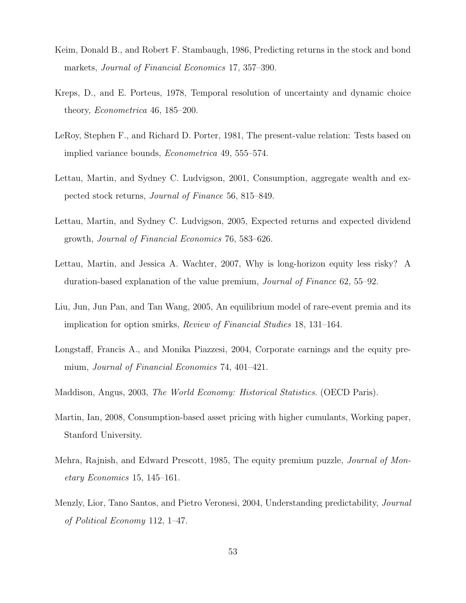- Keim, Donald B., and Robert F. Stambaugh, 1986, Predicting returns in the stock and bond markets, Journal of Financial Economics 17, 357–390.
- Kreps, D., and E. Porteus, 1978, Temporal resolution of uncertainty and dynamic choice theory, Econometrica 46, 185–200.
- LeRoy, Stephen F., and Richard D. Porter, 1981, The present-value relation: Tests based on implied variance bounds, Econometrica 49, 555–574.
- Lettau, Martin, and Sydney C. Ludvigson, 2001, Consumption, aggregate wealth and expected stock returns, Journal of Finance 56, 815–849.
- Lettau, Martin, and Sydney C. Ludvigson, 2005, Expected returns and expected dividend growth, Journal of Financial Economics 76, 583–626.
- Lettau, Martin, and Jessica A. Wachter, 2007, Why is long-horizon equity less risky? A duration-based explanation of the value premium, Journal of Finance 62, 55–92.
- Liu, Jun, Jun Pan, and Tan Wang, 2005, An equilibrium model of rare-event premia and its implication for option smirks, Review of Financial Studies 18, 131–164.
- Longstaff, Francis A., and Monika Piazzesi, 2004, Corporate earnings and the equity premium, Journal of Financial Economics 74, 401–421.
- Maddison, Angus, 2003, The World Economy: Historical Statistics. (OECD Paris).
- Martin, Ian, 2008, Consumption-based asset pricing with higher cumulants, Working paper, Stanford University.
- Mehra, Rajnish, and Edward Prescott, 1985, The equity premium puzzle, Journal of Monetary Economics 15, 145–161.
- Menzly, Lior, Tano Santos, and Pietro Veronesi, 2004, Understanding predictability, Journal of Political Economy 112, 1–47.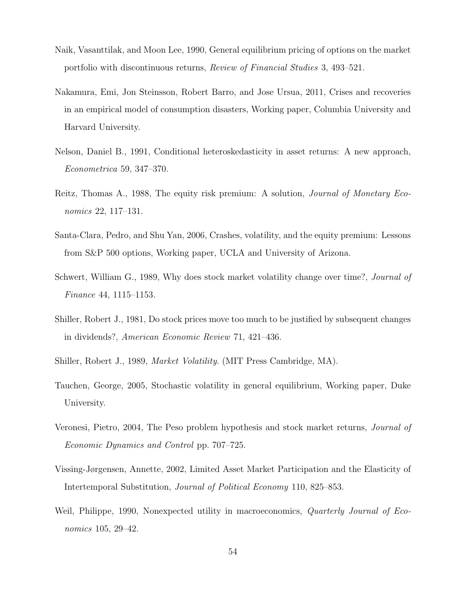- Naik, Vasanttilak, and Moon Lee, 1990, General equilibrium pricing of options on the market portfolio with discontinuous returns, Review of Financial Studies 3, 493–521.
- Nakamura, Emi, Jon Steinsson, Robert Barro, and Jose Ursua, 2011, Crises and recoveries in an empirical model of consumption disasters, Working paper, Columbia University and Harvard University.
- Nelson, Daniel B., 1991, Conditional heteroskedasticity in asset returns: A new approach, Econometrica 59, 347–370.
- Reitz, Thomas A., 1988, The equity risk premium: A solution, Journal of Monetary Economics 22, 117–131.
- Santa-Clara, Pedro, and Shu Yan, 2006, Crashes, volatility, and the equity premium: Lessons from S&P 500 options, Working paper, UCLA and University of Arizona.
- Schwert, William G., 1989, Why does stock market volatility change over time?, Journal of Finance 44, 1115–1153.
- Shiller, Robert J., 1981, Do stock prices move too much to be justified by subsequent changes in dividends?, American Economic Review 71, 421–436.
- Shiller, Robert J., 1989, Market Volatility. (MIT Press Cambridge, MA).
- Tauchen, George, 2005, Stochastic volatility in general equilibrium, Working paper, Duke University.
- Veronesi, Pietro, 2004, The Peso problem hypothesis and stock market returns, Journal of Economic Dynamics and Control pp. 707–725.
- Vissing-Jørgensen, Annette, 2002, Limited Asset Market Participation and the Elasticity of Intertemporal Substitution, Journal of Political Economy 110, 825–853.
- Weil, Philippe, 1990, Nonexpected utility in macroeconomics, *Quarterly Journal of Eco*nomics 105, 29–42.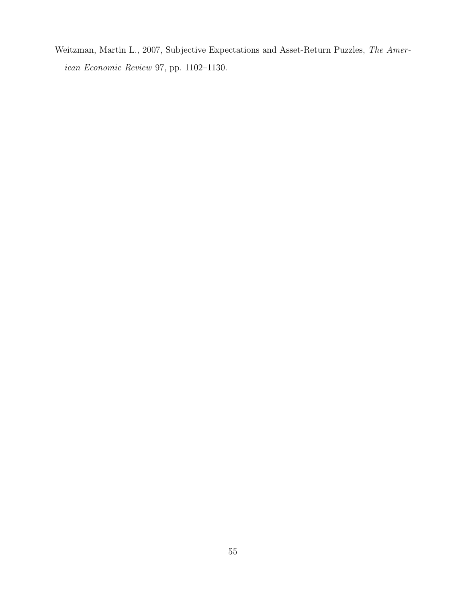Weitzman, Martin L., 2007, Subjective Expectations and Asset-Return Puzzles, The American Economic Review 97, pp. 1102–1130.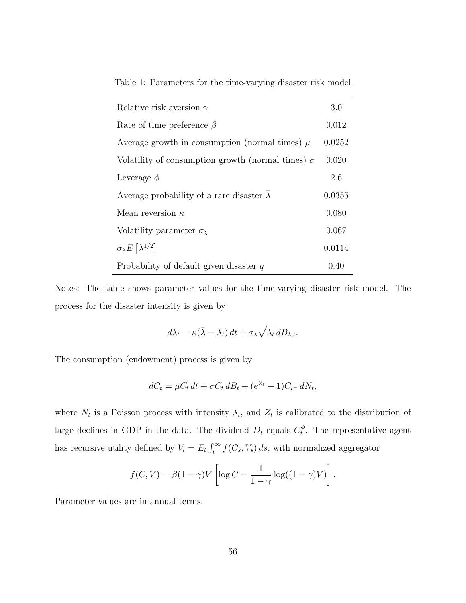|  |  | Table 1: Parameters for the time-varying disaster risk model |  |  |
|--|--|--------------------------------------------------------------|--|--|
|  |  |                                                              |  |  |

| Relative risk aversion $\gamma$                          | 3.0    |
|----------------------------------------------------------|--------|
| Rate of time preference $\beta$                          | 0.012  |
| Average growth in consumption (normal times) $\mu$       | 0.0252 |
| Volatility of consumption growth (normal times) $\sigma$ | 0.020  |
| Leverage $\phi$                                          | 2.6    |
| Average probability of a rare disaster $\lambda$         | 0.0355 |
| Mean reversion $\kappa$                                  | 0.080  |
| Volatility parameter $\sigma_{\lambda}$                  | 0.067  |
| $\sigma_{\lambda}E\left[\lambda^{1/2}\right]$            | 0.0114 |
| Probability of default given disaster $q$                | 0.40   |

Notes: The table shows parameter values for the time-varying disaster risk model. The process for the disaster intensity is given by

$$
d\lambda_t = \kappa(\bar{\lambda} - \lambda_t) dt + \sigma_{\lambda} \sqrt{\lambda_t} dB_{\lambda, t}.
$$

The consumption (endowment) process is given by

$$
dC_t = \mu C_t dt + \sigma C_t dB_t + (e^{Z_t} - 1)C_{t^-} dN_t,
$$

where  $N_t$  is a Poisson process with intensity  $\lambda_t$ , and  $Z_t$  is calibrated to the distribution of large declines in GDP in the data. The dividend  $D_t$  equals  $C_t^{\phi}$  $t^{\phi}$ . The representative agent has recursive utility defined by  $V_t = E_t \int_t^{\infty} f(C_s, V_s) ds$ , with normalized aggregator

$$
f(C,V) = \beta(1-\gamma)V\left[\log C - \frac{1}{1-\gamma}\log((1-\gamma)V)\right].
$$

Parameter values are in annual terms.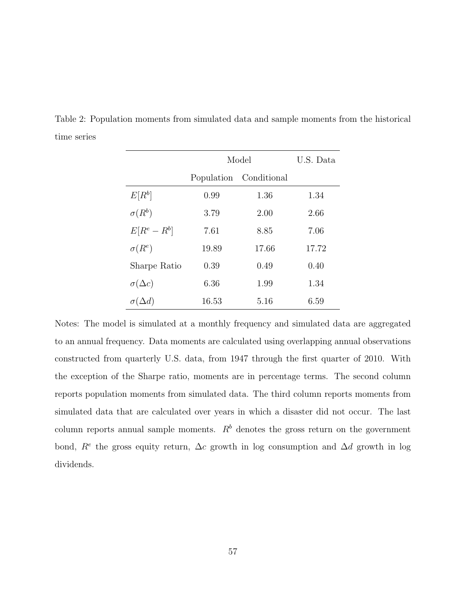|                    | Model      | U.S. Data   |       |
|--------------------|------------|-------------|-------|
|                    | Population | Conditional |       |
| $E[R^b]$           | 0.99       | 1.36        | 1.34  |
| $\sigma(R^b)$      | 3.79       | 2.00        | 2.66  |
| $E[R^e - R^b]$     | 7.61       | 8.85        | 7.06  |
| $\sigma(R^e)$      | 19.89      | 17.66       | 17.72 |
| Sharpe Ratio       | 0.39       | 0.49        | 0.40  |
| $\sigma(\Delta c)$ | 6.36       | 1.99        | 1.34  |
| $\sigma(\Delta d)$ | 16.53      | 5.16        | 6.59  |

Table 2: Population moments from simulated data and sample moments from the historical time series

Notes: The model is simulated at a monthly frequency and simulated data are aggregated to an annual frequency. Data moments are calculated using overlapping annual observations constructed from quarterly U.S. data, from 1947 through the first quarter of 2010. With the exception of the Sharpe ratio, moments are in percentage terms. The second column reports population moments from simulated data. The third column reports moments from simulated data that are calculated over years in which a disaster did not occur. The last column reports annual sample moments.  $R<sup>b</sup>$  denotes the gross return on the government bond,  $R^e$  the gross equity return,  $\Delta c$  growth in log consumption and  $\Delta d$  growth in log dividends.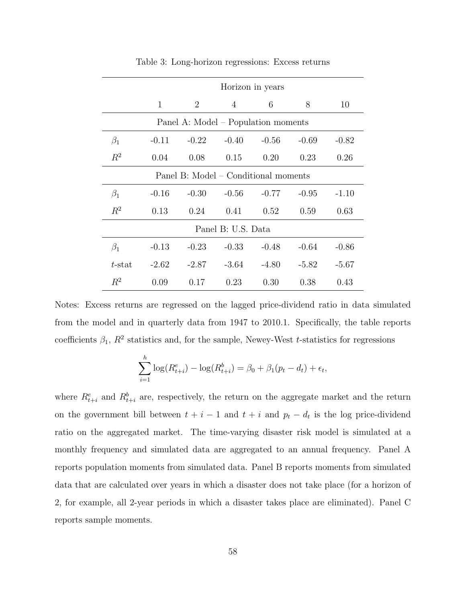|                                      | Horizon in years |                |                                     |         |         |         |  |
|--------------------------------------|------------------|----------------|-------------------------------------|---------|---------|---------|--|
|                                      | 1                | $\overline{2}$ | $\overline{4}$                      | 6       | 8       | 10      |  |
|                                      |                  |                | Panel A: Model – Population moments |         |         |         |  |
| $\beta_1$                            | $-0.11$          | $-0.22$        | $-0.40$                             | $-0.56$ | $-0.69$ | $-0.82$ |  |
| $R^2$                                | 0.04             | 0.08           | 0.15                                | 0.20    | 0.23    | 0.26    |  |
| Panel B: Model – Conditional moments |                  |                |                                     |         |         |         |  |
| $\beta_1$                            | $-0.16$          | $-0.30$        | $-0.56$                             | $-0.77$ | $-0.95$ | $-1.10$ |  |
| $R^2$                                | 0.13             | 0.24           | 0.41                                | 0.52    | 0.59    | 0.63    |  |
| Panel B: U.S. Data                   |                  |                |                                     |         |         |         |  |
| $\beta_1$                            | $-0.13$          | $-0.23$        | $-0.33$                             | $-0.48$ | $-0.64$ | $-0.86$ |  |
| $t$ -stat                            | $-2.62$          | $-2.87$        | $-3.64$                             | $-4.80$ | $-5.82$ | $-5.67$ |  |
| $R^2$                                | 0.09             | 0.17           | 0.23                                | 0.30    | 0.38    | 0.43    |  |

Table 3: Long-horizon regressions: Excess returns

Notes: Excess returns are regressed on the lagged price-dividend ratio in data simulated from the model and in quarterly data from 1947 to 2010.1. Specifically, the table reports coefficients  $\beta_1$ ,  $R^2$  statistics and, for the sample, Newey-West t-statistics for regressions

$$
\sum_{i=1}^{h} \log(R_{t+i}^{e}) - \log(R_{t+i}^{b}) = \beta_0 + \beta_1(p_t - d_t) + \epsilon_t,
$$

where  $R_{t+i}^e$  and  $R_{t+i}^b$  are, respectively, the return on the aggregate market and the return on the government bill between  $t + i - 1$  and  $t + i$  and  $p_t - d_t$  is the log price-dividend ratio on the aggregated market. The time-varying disaster risk model is simulated at a monthly frequency and simulated data are aggregated to an annual frequency. Panel A reports population moments from simulated data. Panel B reports moments from simulated data that are calculated over years in which a disaster does not take place (for a horizon of 2, for example, all 2-year periods in which a disaster takes place are eliminated). Panel C reports sample moments.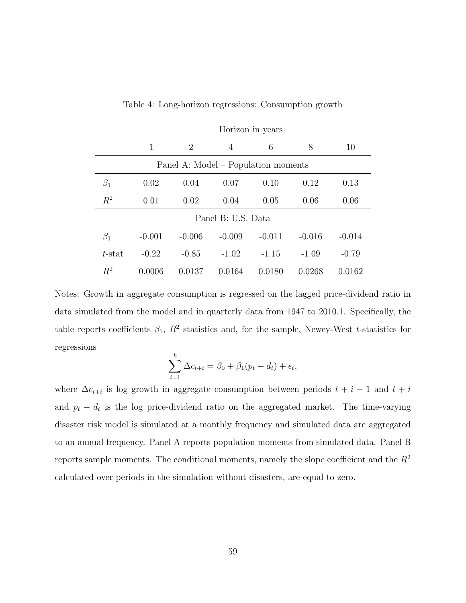|           | Horizon in years                    |          |          |          |          |          |  |  |
|-----------|-------------------------------------|----------|----------|----------|----------|----------|--|--|
|           | 1                                   | 2        | 4        | 6        | 8        | 10       |  |  |
|           | Panel A: Model – Population moments |          |          |          |          |          |  |  |
| $\beta_1$ | 0.02                                | 0.04     | 0.07     | 0.10     | 0.12     | 0.13     |  |  |
| $R^2$     | 0.01                                | 0.02     | 0.04     | 0.05     | 0.06     | 0.06     |  |  |
|           | Panel B: U.S. Data                  |          |          |          |          |          |  |  |
| $\beta_1$ | $-0.001$                            | $-0.006$ | $-0.009$ | $-0.011$ | $-0.016$ | $-0.014$ |  |  |
| $t$ -stat | $-0.22$                             | $-0.85$  | $-1.02$  | $-1.15$  | $-1.09$  | $-0.79$  |  |  |
| $R^2$     | 0.0006                              | 0.0137   | 0.0164   | 0.0180   | 0.0268   | 0.0162   |  |  |

Table 4: Long-horizon regressions: Consumption growth

Notes: Growth in aggregate consumption is regressed on the lagged price-dividend ratio in data simulated from the model and in quarterly data from 1947 to 2010.1. Specifically, the table reports coefficients  $\beta_1$ ,  $R^2$  statistics and, for the sample, Newey-West t-statistics for regressions

$$
\sum_{i=1}^{h} \Delta c_{t+i} = \beta_0 + \beta_1 (p_t - d_t) + \epsilon_t,
$$

where  $\Delta c_{t+i}$  is log growth in aggregate consumption between periods  $t + i - 1$  and  $t + i$ and  $p_t - d_t$  is the log price-dividend ratio on the aggregated market. The time-varying disaster risk model is simulated at a monthly frequency and simulated data are aggregated to an annual frequency. Panel A reports population moments from simulated data. Panel B reports sample moments. The conditional moments, namely the slope coefficient and the  $R<sup>2</sup>$ calculated over periods in the simulation without disasters, are equal to zero.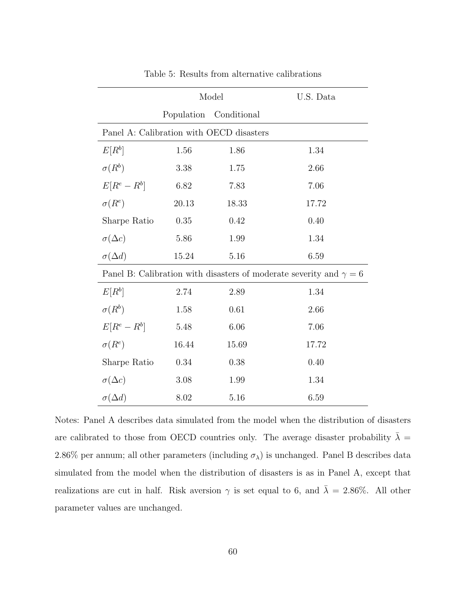|                                                                           |                                          | Model       | U.S. Data |  |  |  |  |
|---------------------------------------------------------------------------|------------------------------------------|-------------|-----------|--|--|--|--|
|                                                                           | Population                               | Conditional |           |  |  |  |  |
|                                                                           | Panel A: Calibration with OECD disasters |             |           |  |  |  |  |
| $E[R^b]$                                                                  | 1.56                                     | 1.86        | 1.34      |  |  |  |  |
| $\sigma(R^b)$                                                             | 3.38                                     | 1.75        | 2.66      |  |  |  |  |
| $E[R^e - R^b]$                                                            | 6.82                                     | 7.83        | 7.06      |  |  |  |  |
| $\sigma(R^e)$                                                             | 20.13                                    | 18.33       | 17.72     |  |  |  |  |
| Sharpe Ratio                                                              | 0.35                                     | 0.42        | 0.40      |  |  |  |  |
| $\sigma(\Delta c)$                                                        | 5.86                                     | 1.99        | 1.34      |  |  |  |  |
| $\sigma(\Delta d)$                                                        | 15.24                                    | 5.16        | 6.59      |  |  |  |  |
| Panel B: Calibration with disasters of moderate severity and $\gamma = 6$ |                                          |             |           |  |  |  |  |
| $E[R^b]$                                                                  | 2.74                                     | 2.89        | 1.34      |  |  |  |  |
| $\sigma(R^b)$                                                             | 1.58                                     | 0.61        | 2.66      |  |  |  |  |
| $E[R^e - R^b]$                                                            | 5.48                                     | 6.06        | 7.06      |  |  |  |  |
| $\sigma(R^e)$                                                             | 16.44                                    | 15.69       | 17.72     |  |  |  |  |
| Sharpe Ratio                                                              | 0.34                                     | 0.38        | 0.40      |  |  |  |  |
| $\sigma(\Delta c)$                                                        | 3.08                                     | 1.99        | 1.34      |  |  |  |  |
| $\sigma(\Delta d)$                                                        | 8.02                                     | 5.16        | 6.59      |  |  |  |  |

Table 5: Results from alternative calibrations

Notes: Panel A describes data simulated from the model when the distribution of disasters are calibrated to those from OECD countries only. The average disaster probability  $\bar{\lambda}$  = 2.86% per annum; all other parameters (including  $\sigma_{\lambda}$ ) is unchanged. Panel B describes data simulated from the model when the distribution of disasters is as in Panel A, except that realizations are cut in half. Risk aversion  $\gamma$  is set equal to 6, and  $\bar{\lambda} = 2.86\%$ . All other parameter values are unchanged.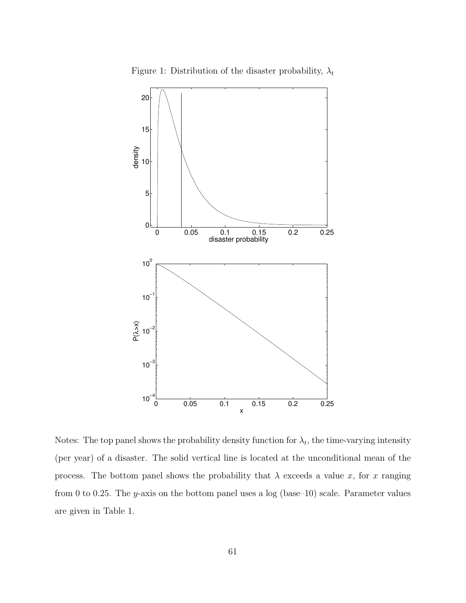

Figure 1: Distribution of the disaster probability,  $\lambda_t$ 

Notes: The top panel shows the probability density function for  $\lambda_t$ , the time-varying intensity (per year) of a disaster. The solid vertical line is located at the unconditional mean of the process. The bottom panel shows the probability that  $\lambda$  exceeds a value x, for x ranging from 0 to 0.25. The y-axis on the bottom panel uses a  $log$  (base–10) scale. Parameter values are given in Table 1.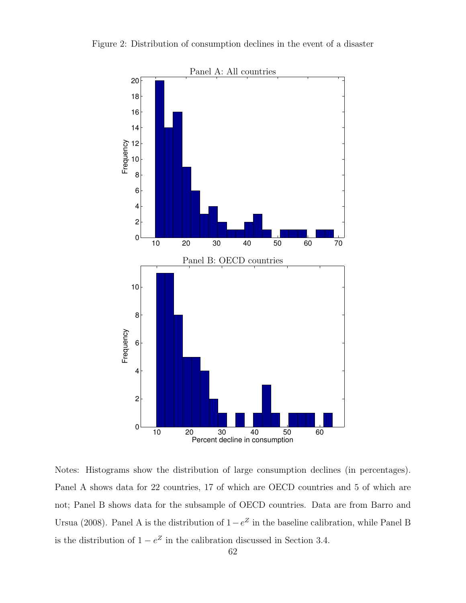

Notes: Histograms show the distribution of large consumption declines (in percentages). Panel A shows data for 22 countries, 17 of which are OECD countries and 5 of which are not; Panel B shows data for the subsample of OECD countries. Data are from Barro and Ursua (2008). Panel A is the distribution of  $1-e^Z$  in the baseline calibration, while Panel B is the distribution of  $1 - e^Z$  in the calibration discussed in Section 3.4.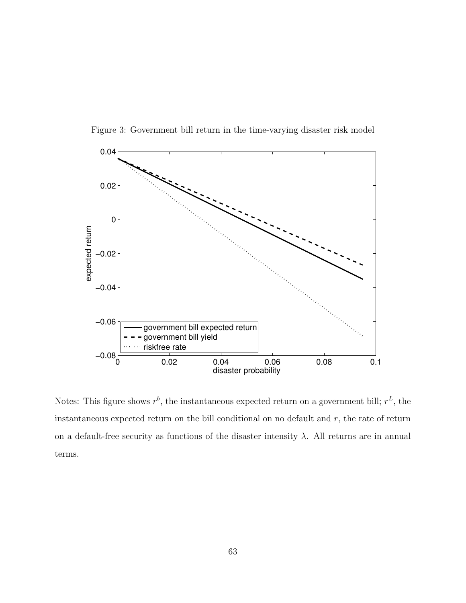



Notes: This figure shows  $r^b$ , the instantaneous expected return on a government bill;  $r^L$ , the instantaneous expected return on the bill conditional on no default and  $r$ , the rate of return on a default-free security as functions of the disaster intensity  $\lambda$ . All returns are in annual terms.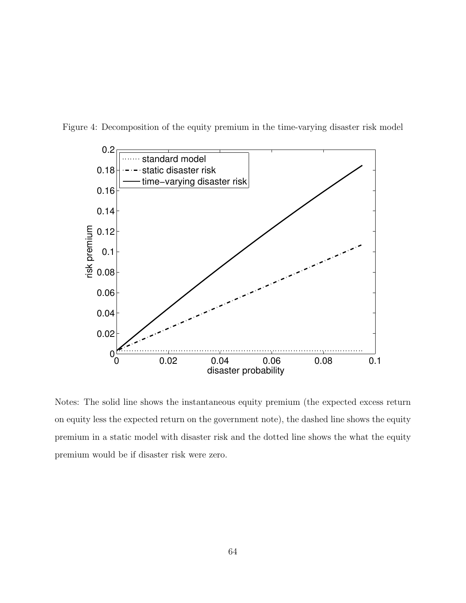

Figure 4: Decomposition of the equity premium in the time-varying disaster risk model

Notes: The solid line shows the instantaneous equity premium (the expected excess return on equity less the expected return on the government note), the dashed line shows the equity premium in a static model with disaster risk and the dotted line shows the what the equity premium would be if disaster risk were zero.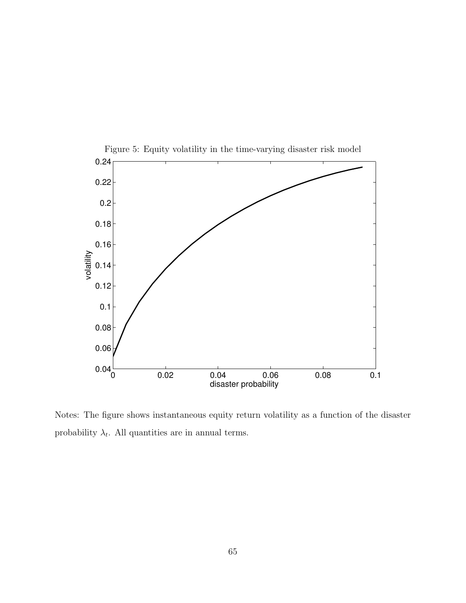

Figure 5: Equity volatility in the time-varying disaster risk model

Notes: The figure shows instantaneous equity return volatility as a function of the disaster probability  $\lambda_t$ . All quantities are in annual terms.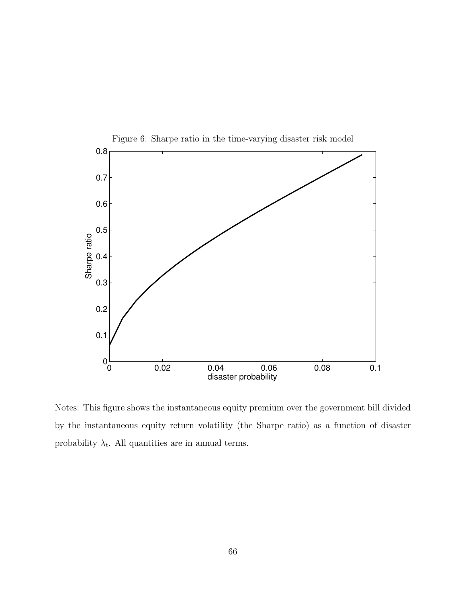

Notes: This figure shows the instantaneous equity premium over the government bill divided by the instantaneous equity return volatility (the Sharpe ratio) as a function of disaster probability  $\lambda_t$ . All quantities are in annual terms.